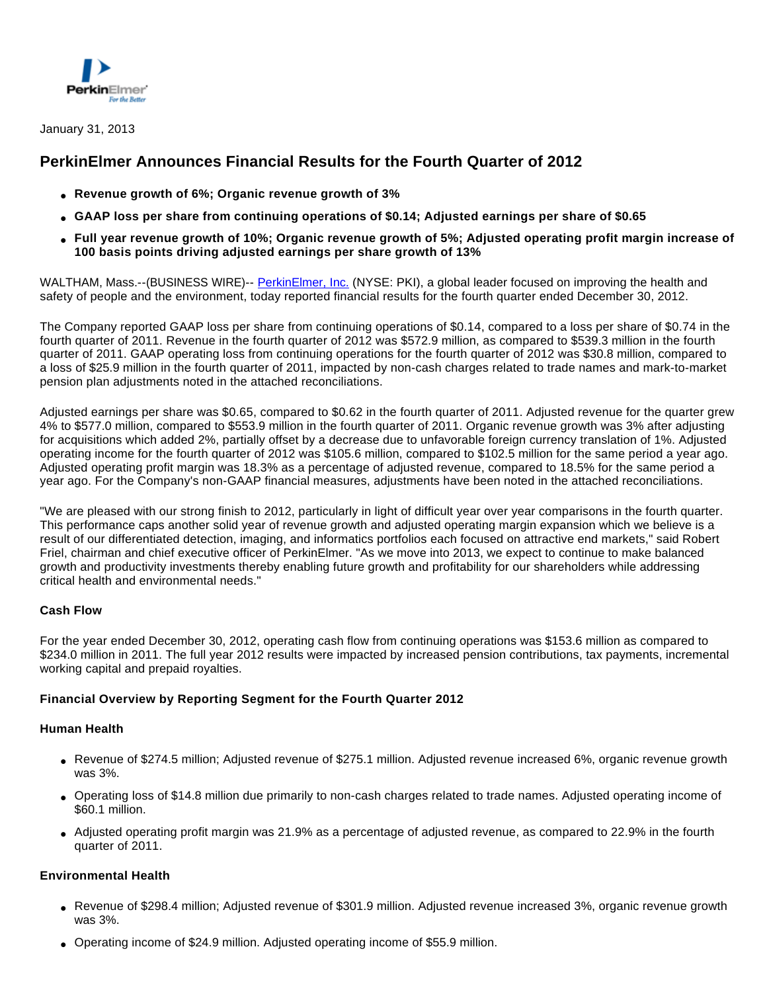

# **PerkinElmer Announces Financial Results for the Fourth Quarter of 2012**

- **Revenue growth of 6%; Organic revenue growth of 3%**
- **GAAP loss per share from continuing operations of \$0.14; Adjusted earnings per share of \$0.65**
- **Full year revenue growth of 10%; Organic revenue growth of 5%; Adjusted operating profit margin increase of 100 basis points driving adjusted earnings per share growth of 13%**

WALTHAM, Mass.--(BUSINESS WIRE)-- [PerkinElmer, Inc.](http://cts.businesswire.com/ct/CT?id=smartlink&url=http%3A%2F%2Fwww.perkinelmer.com&esheet=50547706&lan=en-US&anchor=PerkinElmer%2C+Inc.&index=1&md5=bb36af3fae5b98228d43586d0e3d2f10) (NYSE: PKI), a global leader focused on improving the health and safety of people and the environment, today reported financial results for the fourth quarter ended December 30, 2012.

The Company reported GAAP loss per share from continuing operations of \$0.14, compared to a loss per share of \$0.74 in the fourth quarter of 2011. Revenue in the fourth quarter of 2012 was \$572.9 million, as compared to \$539.3 million in the fourth quarter of 2011. GAAP operating loss from continuing operations for the fourth quarter of 2012 was \$30.8 million, compared to a loss of \$25.9 million in the fourth quarter of 2011, impacted by non-cash charges related to trade names and mark-to-market pension plan adjustments noted in the attached reconciliations.

Adjusted earnings per share was \$0.65, compared to \$0.62 in the fourth quarter of 2011. Adjusted revenue for the quarter grew 4% to \$577.0 million, compared to \$553.9 million in the fourth quarter of 2011. Organic revenue growth was 3% after adjusting for acquisitions which added 2%, partially offset by a decrease due to unfavorable foreign currency translation of 1%. Adjusted operating income for the fourth quarter of 2012 was \$105.6 million, compared to \$102.5 million for the same period a year ago. Adjusted operating profit margin was 18.3% as a percentage of adjusted revenue, compared to 18.5% for the same period a year ago. For the Company's non-GAAP financial measures, adjustments have been noted in the attached reconciliations.

"We are pleased with our strong finish to 2012, particularly in light of difficult year over year comparisons in the fourth quarter. This performance caps another solid year of revenue growth and adjusted operating margin expansion which we believe is a result of our differentiated detection, imaging, and informatics portfolios each focused on attractive end markets," said Robert Friel, chairman and chief executive officer of PerkinElmer. "As we move into 2013, we expect to continue to make balanced growth and productivity investments thereby enabling future growth and profitability for our shareholders while addressing critical health and environmental needs."

#### **Cash Flow**

For the year ended December 30, 2012, operating cash flow from continuing operations was \$153.6 million as compared to \$234.0 million in 2011. The full year 2012 results were impacted by increased pension contributions, tax payments, incremental working capital and prepaid royalties.

#### **Financial Overview by Reporting Segment for the Fourth Quarter 2012**

#### **Human Health**

- Revenue of \$274.5 million; Adjusted revenue of \$275.1 million. Adjusted revenue increased 6%, organic revenue growth was 3%.
- Operating loss of \$14.8 million due primarily to non-cash charges related to trade names. Adjusted operating income of \$60.1 million.
- Adjusted operating profit margin was 21.9% as a percentage of adjusted revenue, as compared to 22.9% in the fourth quarter of 2011.

#### **Environmental Health**

- Revenue of \$298.4 million; Adjusted revenue of \$301.9 million. Adjusted revenue increased 3%, organic revenue growth was 3%.
- Operating income of \$24.9 million. Adjusted operating income of \$55.9 million.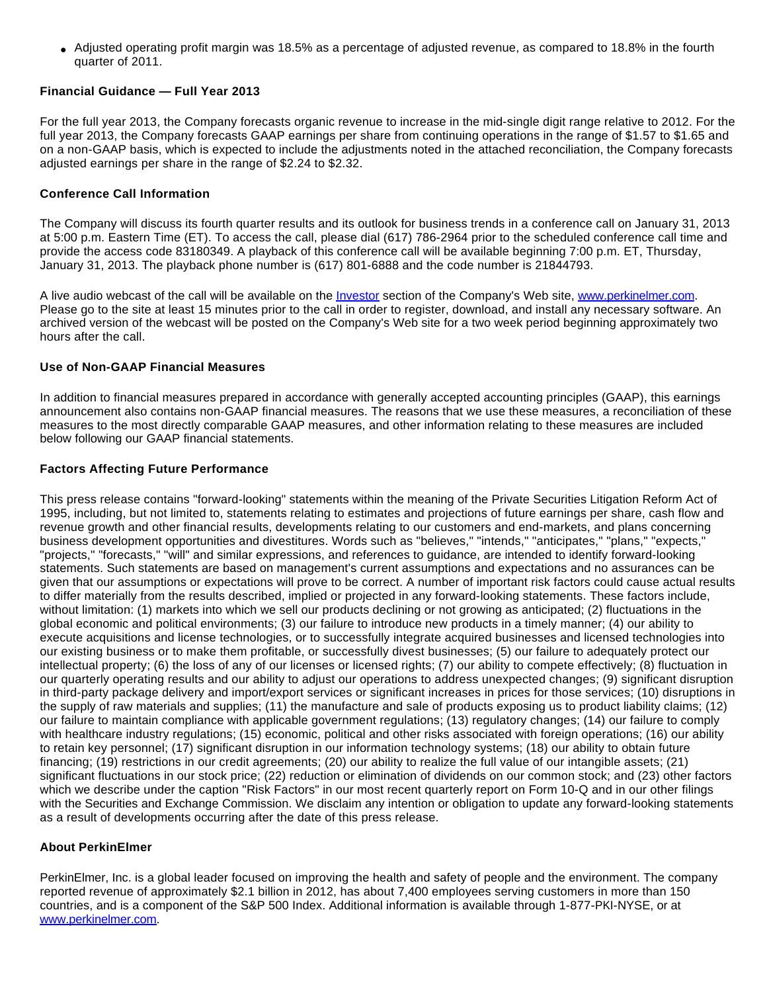● Adjusted operating profit margin was 18.5% as a percentage of adjusted revenue, as compared to 18.8% in the fourth quarter of 2011.

#### **Financial Guidance — Full Year 2013**

For the full year 2013, the Company forecasts organic revenue to increase in the mid-single digit range relative to 2012. For the full year 2013, the Company forecasts GAAP earnings per share from continuing operations in the range of \$1.57 to \$1.65 and on a non-GAAP basis, which is expected to include the adjustments noted in the attached reconciliation, the Company forecasts adjusted earnings per share in the range of \$2.24 to \$2.32.

#### **Conference Call Information**

The Company will discuss its fourth quarter results and its outlook for business trends in a conference call on January 31, 2013 at 5:00 p.m. Eastern Time (ET). To access the call, please dial (617) 786-2964 prior to the scheduled conference call time and provide the access code 83180349. A playback of this conference call will be available beginning 7:00 p.m. ET, Thursday, January 31, 2013. The playback phone number is (617) 801-6888 and the code number is 21844793.

A live audio webcast of the call will be available on the *Investor* section of the Company's Web site, [www.perkinelmer.com.](http://cts.businesswire.com/ct/CT?id=smartlink&url=http%3A%2F%2Fwww.perkinelmer.com&esheet=50547706&lan=en-US&anchor=www.perkinelmer.com&index=3&md5=afee58eaf289f901a8db63eb4a55de01) Please go to the site at least 15 minutes prior to the call in order to register, download, and install any necessary software. An archived version of the webcast will be posted on the Company's Web site for a two week period beginning approximately two hours after the call.

#### **Use of Non-GAAP Financial Measures**

In addition to financial measures prepared in accordance with generally accepted accounting principles (GAAP), this earnings announcement also contains non-GAAP financial measures. The reasons that we use these measures, a reconciliation of these measures to the most directly comparable GAAP measures, and other information relating to these measures are included below following our GAAP financial statements.

#### **Factors Affecting Future Performance**

This press release contains "forward-looking" statements within the meaning of the Private Securities Litigation Reform Act of 1995, including, but not limited to, statements relating to estimates and projections of future earnings per share, cash flow and revenue growth and other financial results, developments relating to our customers and end-markets, and plans concerning business development opportunities and divestitures. Words such as "believes," "intends," "anticipates," "plans," "expects," "projects," "forecasts," "will" and similar expressions, and references to guidance, are intended to identify forward-looking statements. Such statements are based on management's current assumptions and expectations and no assurances can be given that our assumptions or expectations will prove to be correct. A number of important risk factors could cause actual results to differ materially from the results described, implied or projected in any forward-looking statements. These factors include, without limitation: (1) markets into which we sell our products declining or not growing as anticipated; (2) fluctuations in the global economic and political environments; (3) our failure to introduce new products in a timely manner; (4) our ability to execute acquisitions and license technologies, or to successfully integrate acquired businesses and licensed technologies into our existing business or to make them profitable, or successfully divest businesses; (5) our failure to adequately protect our intellectual property; (6) the loss of any of our licenses or licensed rights; (7) our ability to compete effectively; (8) fluctuation in our quarterly operating results and our ability to adjust our operations to address unexpected changes; (9) significant disruption in third-party package delivery and import/export services or significant increases in prices for those services; (10) disruptions in the supply of raw materials and supplies; (11) the manufacture and sale of products exposing us to product liability claims; (12) our failure to maintain compliance with applicable government regulations; (13) regulatory changes; (14) our failure to comply with healthcare industry regulations; (15) economic, political and other risks associated with foreign operations; (16) our ability to retain key personnel; (17) significant disruption in our information technology systems; (18) our ability to obtain future financing; (19) restrictions in our credit agreements; (20) our ability to realize the full value of our intangible assets; (21) significant fluctuations in our stock price; (22) reduction or elimination of dividends on our common stock; and (23) other factors which we describe under the caption "Risk Factors" in our most recent quarterly report on Form 10-Q and in our other filings with the Securities and Exchange Commission. We disclaim any intention or obligation to update any forward-looking statements as a result of developments occurring after the date of this press release.

## **About PerkinElmer**

PerkinElmer, Inc. is a global leader focused on improving the health and safety of people and the environment. The company reported revenue of approximately \$2.1 billion in 2012, has about 7,400 employees serving customers in more than 150 countries, and is a component of the S&P 500 Index. Additional information is available through 1-877-PKI-NYSE, or at [www.perkinelmer.com.](http://cts.businesswire.com/ct/CT?id=smartlink&url=http%3A%2F%2Fwww.perkinelmer.com&esheet=50547706&lan=en-US&anchor=www.perkinelmer.com&index=4&md5=d3edf5127291d8167572b5e73c11a0bd)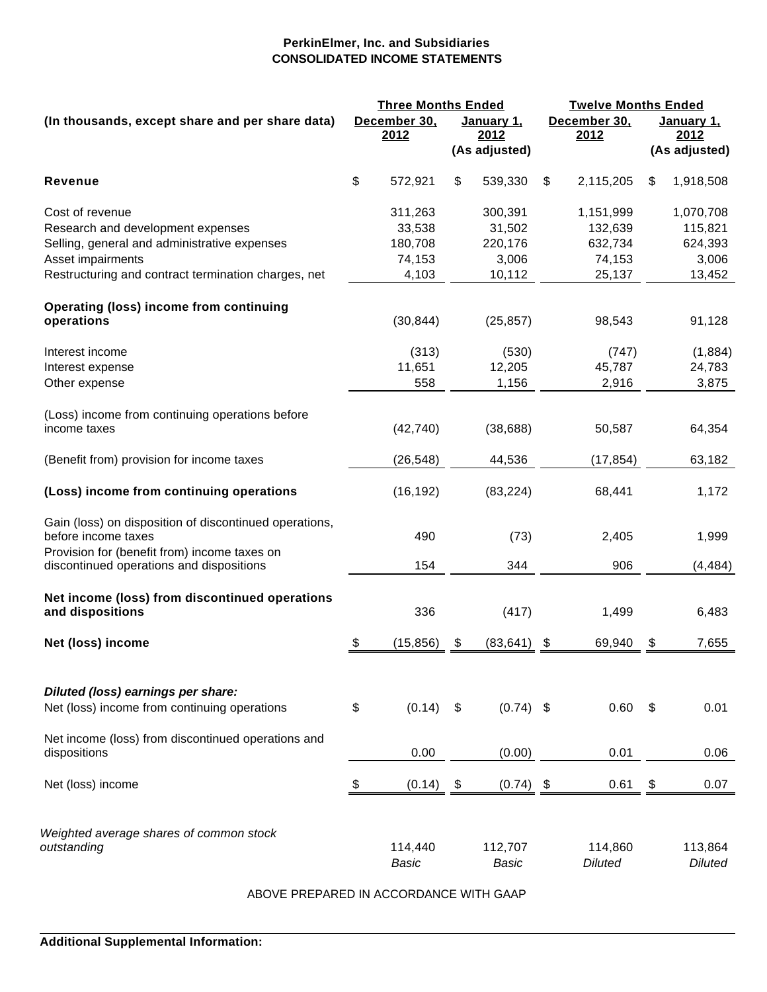# **PerkinElmer, Inc. and Subsidiaries CONSOLIDATED INCOME STATEMENTS**

|                                                                               | <b>Three Months Ended</b> |                         |               |                         |    | <b>Twelve Months Ended</b> |                         |                           |  |
|-------------------------------------------------------------------------------|---------------------------|-------------------------|---------------|-------------------------|----|----------------------------|-------------------------|---------------------------|--|
| (In thousands, except share and per share data)                               |                           | December 30,            |               | January 1,              |    | December 30,               |                         | January 1,                |  |
|                                                                               |                           | 2012                    |               | 2012                    |    | 2012                       |                         | 2012                      |  |
|                                                                               |                           |                         |               | (As adjusted)           |    |                            |                         | (As adjusted)             |  |
| <b>Revenue</b>                                                                | \$                        | 572,921                 | \$            | 539,330                 | \$ | 2,115,205                  | \$                      | 1,918,508                 |  |
| Cost of revenue                                                               |                           | 311,263                 |               | 300,391                 |    | 1,151,999                  |                         | 1,070,708                 |  |
| Research and development expenses                                             |                           | 33,538                  |               | 31,502                  |    | 132,639                    |                         | 115,821                   |  |
| Selling, general and administrative expenses                                  |                           | 180,708                 |               | 220,176                 |    | 632,734                    |                         | 624,393                   |  |
| Asset impairments                                                             |                           | 74,153                  |               | 3,006                   |    | 74,153                     |                         | 3,006                     |  |
| Restructuring and contract termination charges, net                           |                           | 4,103                   |               | 10,112                  |    | 25,137                     |                         | 13,452                    |  |
|                                                                               |                           |                         |               |                         |    |                            |                         |                           |  |
| <b>Operating (loss) income from continuing</b><br>operations                  |                           | (30, 844)               |               | (25, 857)               |    | 98,543                     |                         | 91,128                    |  |
| Interest income                                                               |                           | (313)                   |               | (530)                   |    | (747)                      |                         | (1,884)                   |  |
| Interest expense                                                              |                           | 11,651                  |               | 12,205                  |    | 45,787                     |                         | 24,783                    |  |
| Other expense                                                                 |                           | 558                     |               | 1,156                   |    | 2,916                      |                         | 3,875                     |  |
|                                                                               |                           |                         |               |                         |    |                            |                         |                           |  |
| (Loss) income from continuing operations before                               |                           |                         |               |                         |    |                            |                         |                           |  |
| income taxes                                                                  |                           | (42, 740)               |               | (38, 688)               |    | 50,587                     |                         | 64,354                    |  |
| (Benefit from) provision for income taxes                                     |                           | (26, 548)               |               | 44,536                  |    | (17, 854)                  |                         | 63,182                    |  |
| (Loss) income from continuing operations                                      |                           | (16, 192)               |               | (83, 224)               |    | 68,441                     |                         | 1,172                     |  |
| Gain (loss) on disposition of discontinued operations,<br>before income taxes |                           | 490                     |               | (73)                    |    | 2,405                      |                         | 1,999                     |  |
| Provision for (benefit from) income taxes on                                  |                           |                         |               |                         |    |                            |                         |                           |  |
| discontinued operations and dispositions                                      |                           | 154                     |               | 344                     |    | 906                        |                         | (4, 484)                  |  |
| Net income (loss) from discontinued operations<br>and dispositions            |                           | 336                     |               | (417)                   |    | 1,499                      |                         | 6,483                     |  |
|                                                                               |                           |                         |               |                         |    |                            |                         |                           |  |
| Net (loss) income                                                             | \$                        | (15, 856)               | \$            | (83, 641)               | \$ | 69,940                     | \$                      | 7,655                     |  |
|                                                                               |                           |                         |               |                         |    |                            |                         |                           |  |
| Diluted (loss) earnings per share:                                            |                           |                         |               |                         |    |                            |                         |                           |  |
| Net (loss) income from continuing operations                                  | \$                        | (0.14)                  | $\sqrt[6]{2}$ | $(0.74)$ \$             |    | 0.60                       | $\sqrt[6]{\frac{1}{2}}$ | 0.01                      |  |
| Net income (loss) from discontinued operations and                            |                           |                         |               |                         |    |                            |                         |                           |  |
| dispositions                                                                  |                           | 0.00                    |               | (0.00)                  |    | 0.01                       |                         | 0.06                      |  |
| Net (loss) income                                                             | \$                        | (0.14)                  | \$            | (0.74)                  | \$ | 0.61                       | \$                      | 0.07                      |  |
|                                                                               |                           |                         |               |                         |    |                            |                         |                           |  |
| Weighted average shares of common stock<br>outstanding                        |                           | 114,440<br><b>Basic</b> |               | 112,707<br><b>Basic</b> |    | 114,860<br><b>Diluted</b>  |                         | 113,864<br><b>Diluted</b> |  |

#### ABOVE PREPARED IN ACCORDANCE WITH GAAP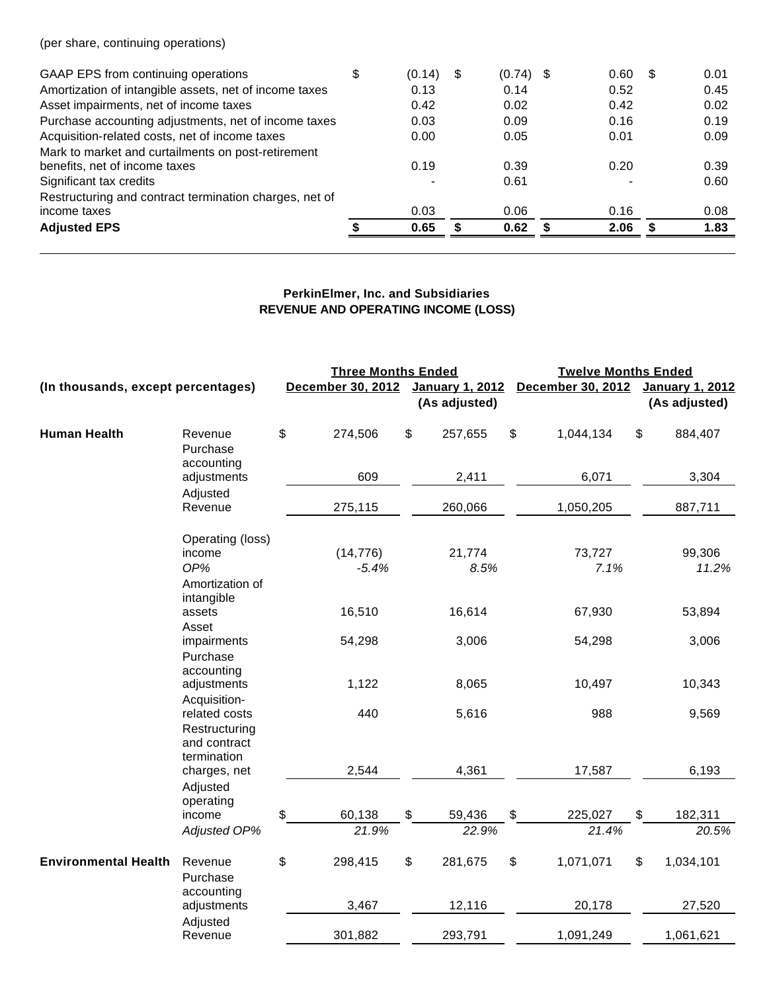## (per share, continuing operations)

| <b>Adjusted EPS</b>                                    | 0.65         | 0.62        | 2.06 | -S | 1.83 |
|--------------------------------------------------------|--------------|-------------|------|----|------|
| income taxes                                           | 0.03         | 0.06        | 0.16 |    | 0.08 |
| Restructuring and contract termination charges, net of |              |             |      |    |      |
| Significant tax credits                                |              | 0.61        |      |    | 0.60 |
| benefits, net of income taxes                          | 0.19         | 0.39        | 0.20 |    | 0.39 |
| Mark to market and curtailments on post-retirement     |              |             |      |    |      |
| Acquisition-related costs, net of income taxes         | 0.00         | 0.05        | 0.01 |    | 0.09 |
| Purchase accounting adjustments, net of income taxes   | 0.03         | 0.09        | 0.16 |    | 0.19 |
| Asset impairments, net of income taxes                 | 0.42         | 0.02        | 0.42 |    | 0.02 |
| Amortization of intangible assets, net of income taxes | 0.13         | 0.14        | 0.52 |    | 0.45 |
| GAAP EPS from continuing operations                    | \$<br>(0.14) | $(0.74)$ \$ | 0.60 | S  | 0.01 |
|                                                        |              |             |      |    |      |

# **PerkinElmer, Inc. and Subsidiaries REVENUE AND OPERATING INCOME (LOSS)**

|                                    | <b>Three Months Ended</b>                            |                          | <b>Twelve Months Ended</b>              |                   |    |                                         |
|------------------------------------|------------------------------------------------------|--------------------------|-----------------------------------------|-------------------|----|-----------------------------------------|
| (In thousands, except percentages) |                                                      | <b>December 30, 2012</b> | <b>January 1, 2012</b><br>(As adjusted) | December 30, 2012 |    | <b>January 1, 2012</b><br>(As adjusted) |
| <b>Human Health</b>                | Revenue<br>Purchase<br>accounting                    | \$<br>274,506            | \$<br>257,655                           | \$<br>1,044,134   | \$ | 884,407                                 |
|                                    | adjustments                                          | 609                      | 2,411                                   | 6,071             |    | 3,304                                   |
|                                    | Adjusted<br>Revenue                                  | 275,115                  | 260,066                                 | 1,050,205         |    | 887,711                                 |
|                                    | Operating (loss)<br>income<br>OP%<br>Amortization of | (14, 776)<br>$-5.4%$     | 21,774<br>8.5%                          | 73,727<br>7.1%    |    | 99,306<br>11.2%                         |
|                                    | intangible<br>assets                                 | 16,510                   | 16,614                                  | 67,930            |    | 53,894                                  |
|                                    | Asset<br>impairments<br>Purchase<br>accounting       | 54,298                   | 3,006                                   | 54,298            |    | 3,006                                   |
|                                    | adjustments<br>Acquisition-                          | 1,122                    | 8,065                                   | 10,497            |    | 10,343                                  |
|                                    | related costs<br>Restructuring<br>and contract       | 440                      | 5,616                                   | 988               |    | 9,569                                   |
|                                    | termination<br>charges, net                          | 2,544                    | 4,361                                   | 17,587            |    | 6,193                                   |
|                                    | Adjusted<br>operating<br>income                      | \$<br>60,138             | \$<br>59,436                            | \$<br>225,027     | \$ | 182,311                                 |
|                                    | Adjusted OP%                                         | 21.9%                    | 22.9%                                   | 21.4%             |    | 20.5%                                   |
| <b>Environmental Health</b>        | Revenue<br>Purchase                                  | \$<br>298,415            | \$<br>281,675                           | \$<br>1,071,071   | \$ | 1,034,101                               |
|                                    | accounting<br>adjustments                            | 3,467                    | 12,116                                  | 20,178            |    | 27,520                                  |
|                                    | Adjusted<br>Revenue                                  | 301,882                  | 293,791                                 | 1,091,249         |    | 1,061,621                               |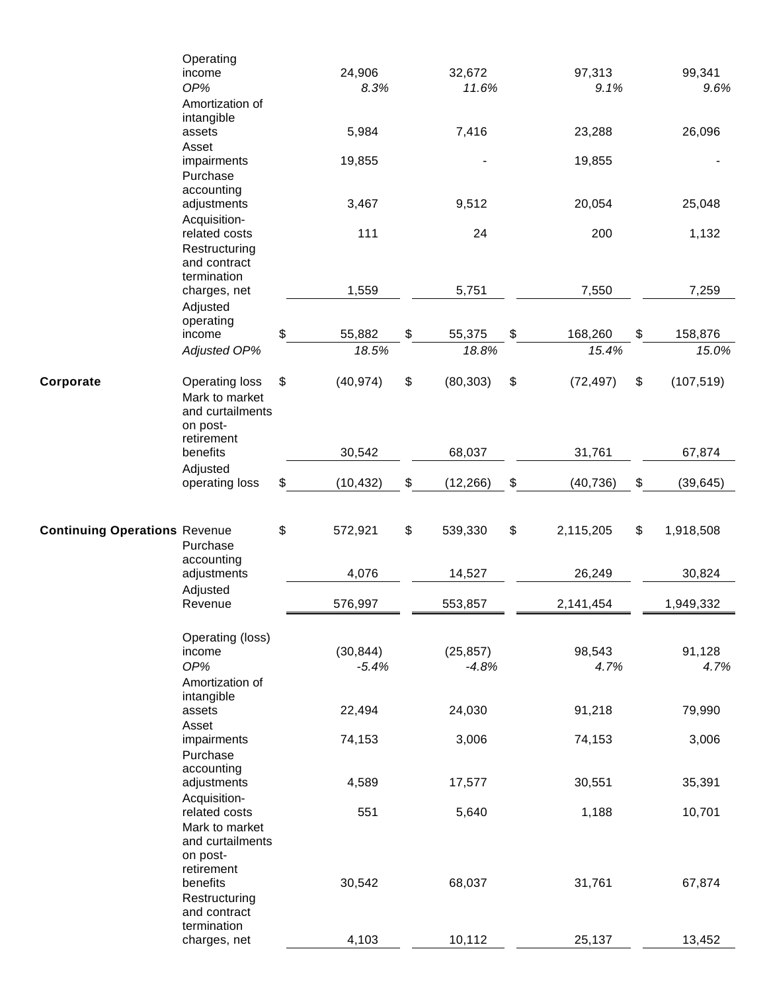|                                      | Operating                          |                 |                 |                 |                  |
|--------------------------------------|------------------------------------|-----------------|-----------------|-----------------|------------------|
|                                      | income                             | 24,906          | 32,672          | 97,313          | 99,341           |
|                                      | OP%                                | 8.3%            | 11.6%           | 9.1%            | 9.6%             |
|                                      | Amortization of                    |                 |                 |                 |                  |
|                                      | intangible<br>assets               | 5,984           | 7,416           | 23,288          | 26,096           |
|                                      | Asset                              |                 |                 |                 |                  |
|                                      | impairments                        | 19,855          |                 | 19,855          |                  |
|                                      | Purchase                           |                 |                 |                 |                  |
|                                      | accounting                         |                 |                 |                 |                  |
|                                      | adjustments                        | 3,467           | 9,512           | 20,054          | 25,048           |
|                                      | Acquisition-                       |                 |                 |                 |                  |
|                                      | related costs                      | 111             | 24              | 200             | 1,132            |
|                                      | Restructuring                      |                 |                 |                 |                  |
|                                      | and contract<br>termination        |                 |                 |                 |                  |
|                                      | charges, net                       | 1,559           | 5,751           | 7,550           | 7,259            |
|                                      | Adjusted                           |                 |                 |                 |                  |
|                                      | operating                          |                 |                 |                 |                  |
|                                      | income                             | \$<br>55,882    | \$<br>55,375    | \$<br>168,260   | \$<br>158,876    |
|                                      | Adjusted OP%                       | 18.5%           | 18.8%           | 15.4%           | 15.0%            |
|                                      |                                    |                 |                 |                 |                  |
| Corporate                            | <b>Operating loss</b>              | \$<br>(40, 974) | \$<br>(80, 303) | \$<br>(72, 497) | \$<br>(107, 519) |
|                                      | Mark to market                     |                 |                 |                 |                  |
|                                      | and curtailments                   |                 |                 |                 |                  |
|                                      | on post-                           |                 |                 |                 |                  |
|                                      | retirement                         |                 |                 |                 |                  |
|                                      | benefits                           | 30,542          | 68,037          | 31,761          | 67,874           |
|                                      | Adjusted<br>operating loss         | \$<br>(10, 432) | \$<br>(12, 266) | \$<br>(40, 736) | \$<br>(39, 645)  |
|                                      |                                    |                 |                 |                 |                  |
|                                      |                                    |                 |                 |                 |                  |
| <b>Continuing Operations Revenue</b> |                                    | \$<br>572,921   | \$<br>539,330   | \$<br>2,115,205 | \$<br>1,918,508  |
|                                      | Purchase                           |                 |                 |                 |                  |
|                                      | accounting                         |                 |                 |                 |                  |
|                                      | adjustments                        | 4,076           | 14,527          | 26,249          | 30,824           |
|                                      | Adjusted                           |                 |                 |                 |                  |
|                                      | Revenue                            | 576,997         | 553,857         | 2,141,454       | 1,949,332        |
|                                      |                                    |                 |                 |                 |                  |
|                                      | Operating (loss)<br>income         | (30, 844)       | (25, 857)       | 98,543          | 91,128           |
|                                      | OP%                                | $-5.4%$         | $-4.8%$         | 4.7%            | 4.7%             |
|                                      | Amortization of                    |                 |                 |                 |                  |
|                                      | intangible                         |                 |                 |                 |                  |
|                                      | assets                             | 22,494          | 24,030          | 91,218          | 79,990           |
|                                      | Asset                              |                 |                 |                 |                  |
|                                      | impairments                        | 74,153          | 3,006           | 74,153          | 3,006            |
|                                      | Purchase                           |                 |                 |                 |                  |
|                                      | accounting                         |                 |                 |                 |                  |
|                                      | adjustments                        | 4,589           | 17,577          | 30,551          | 35,391           |
|                                      | Acquisition-                       |                 |                 |                 |                  |
|                                      | related costs                      | 551             | 5,640           | 1,188           | 10,701           |
|                                      | Mark to market<br>and curtailments |                 |                 |                 |                  |
|                                      | on post-                           |                 |                 |                 |                  |
|                                      | retirement                         |                 |                 |                 |                  |
|                                      | benefits                           | 30,542          | 68,037          | 31,761          | 67,874           |
|                                      | Restructuring                      |                 |                 |                 |                  |
|                                      | and contract                       |                 |                 |                 |                  |
|                                      | termination                        |                 |                 |                 |                  |
|                                      | charges, net                       | 4,103           | 10,112          | 25,137          | 13,452           |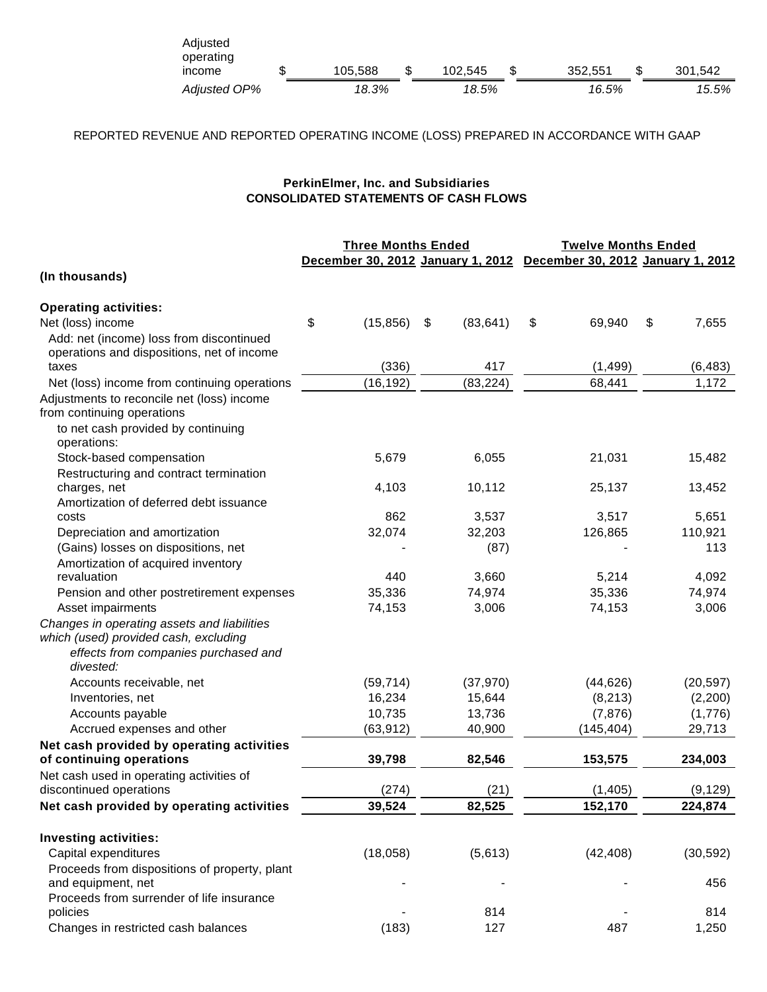| Adjusted<br>operating<br>income | 105.588 | 102.545 | 352.551 | 301,542 |
|---------------------------------|---------|---------|---------|---------|
| <b>Adjusted OP%</b>             | 18.3%   | 18.5%   | 16.5%   | 15.5%   |

# REPORTED REVENUE AND REPORTED OPERATING INCOME (LOSS) PREPARED IN ACCORDANCE WITH GAAP

## **PerkinElmer, Inc. and Subsidiaries CONSOLIDATED STATEMENTS OF CASH FLOWS**

|                                                                       | <b>Three Months Ended</b> |                 | <b>Twelve Months Ended</b>                                          |             |  |  |  |
|-----------------------------------------------------------------------|---------------------------|-----------------|---------------------------------------------------------------------|-------------|--|--|--|
|                                                                       |                           |                 | December 30, 2012 January 1, 2012 December 30, 2012 January 1, 2012 |             |  |  |  |
| (In thousands)                                                        |                           |                 |                                                                     |             |  |  |  |
| <b>Operating activities:</b>                                          |                           |                 |                                                                     |             |  |  |  |
| Net (loss) income                                                     | \$<br>(15, 856)           | (83, 641)<br>\$ | \$<br>69,940                                                        | \$<br>7,655 |  |  |  |
| Add: net (income) loss from discontinued                              |                           |                 |                                                                     |             |  |  |  |
| operations and dispositions, net of income                            |                           |                 |                                                                     |             |  |  |  |
| taxes                                                                 | (336)                     | 417             | (1,499)                                                             | (6, 483)    |  |  |  |
| Net (loss) income from continuing operations                          | (16, 192)                 | (83, 224)       | 68,441                                                              | 1,172       |  |  |  |
| Adjustments to reconcile net (loss) income                            |                           |                 |                                                                     |             |  |  |  |
| from continuing operations                                            |                           |                 |                                                                     |             |  |  |  |
| to net cash provided by continuing                                    |                           |                 |                                                                     |             |  |  |  |
| operations:                                                           |                           |                 |                                                                     |             |  |  |  |
| Stock-based compensation                                              | 5,679                     | 6,055           | 21,031                                                              | 15,482      |  |  |  |
| Restructuring and contract termination                                |                           |                 |                                                                     |             |  |  |  |
| charges, net                                                          | 4,103                     | 10,112          | 25,137                                                              | 13,452      |  |  |  |
| Amortization of deferred debt issuance                                |                           |                 |                                                                     |             |  |  |  |
| costs                                                                 | 862                       | 3,537           | 3,517                                                               | 5,651       |  |  |  |
| Depreciation and amortization                                         | 32,074                    | 32,203          | 126,865                                                             | 110,921     |  |  |  |
| (Gains) losses on dispositions, net                                   |                           | (87)            |                                                                     | 113         |  |  |  |
| Amortization of acquired inventory                                    |                           |                 |                                                                     |             |  |  |  |
| revaluation                                                           | 440                       | 3,660           | 5,214                                                               | 4,092       |  |  |  |
| Pension and other postretirement expenses                             | 35,336                    | 74,974          | 35,336                                                              | 74,974      |  |  |  |
| Asset impairments                                                     | 74,153                    | 3,006           | 74,153                                                              | 3,006       |  |  |  |
| Changes in operating assets and liabilities                           |                           |                 |                                                                     |             |  |  |  |
| which (used) provided cash, excluding                                 |                           |                 |                                                                     |             |  |  |  |
| effects from companies purchased and<br>divested:                     |                           |                 |                                                                     |             |  |  |  |
| Accounts receivable, net                                              | (59, 714)                 | (37, 970)       | (44, 626)                                                           | (20, 597)   |  |  |  |
| Inventories, net                                                      | 16,234                    | 15,644          | (8, 213)                                                            | (2,200)     |  |  |  |
|                                                                       | 10,735                    | 13,736          | (7, 876)                                                            | (1,776)     |  |  |  |
| Accounts payable<br>Accrued expenses and other                        |                           | 40,900          | (145, 404)                                                          |             |  |  |  |
|                                                                       | (63, 912)                 |                 |                                                                     | 29,713      |  |  |  |
| Net cash provided by operating activities<br>of continuing operations | 39,798                    | 82,546          | 153,575                                                             | 234,003     |  |  |  |
| Net cash used in operating activities of                              |                           |                 |                                                                     |             |  |  |  |
| discontinued operations                                               | (274)                     | (21)            | (1, 405)                                                            | (9, 129)    |  |  |  |
| Net cash provided by operating activities                             | 39,524                    | 82,525          | 152,170                                                             | 224,874     |  |  |  |
|                                                                       |                           |                 |                                                                     |             |  |  |  |
| <b>Investing activities:</b>                                          |                           |                 |                                                                     |             |  |  |  |
| Capital expenditures                                                  | (18,058)                  | (5,613)         | (42, 408)                                                           | (30, 592)   |  |  |  |
| Proceeds from dispositions of property, plant                         |                           |                 |                                                                     |             |  |  |  |
| and equipment, net                                                    |                           |                 |                                                                     | 456         |  |  |  |
| Proceeds from surrender of life insurance                             |                           |                 |                                                                     |             |  |  |  |
| policies                                                              |                           | 814             |                                                                     | 814         |  |  |  |
| Changes in restricted cash balances                                   | (183)                     | 127             | 487                                                                 | 1,250       |  |  |  |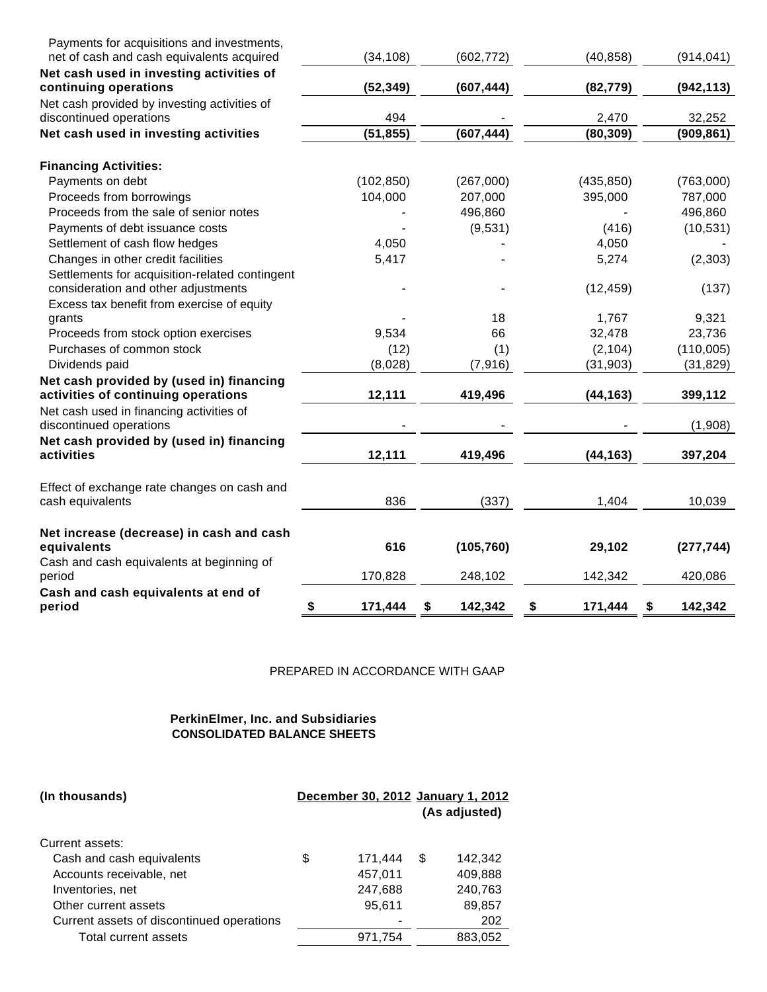| Payments for acquisitions and investments,                                            |               |               |               |               |
|---------------------------------------------------------------------------------------|---------------|---------------|---------------|---------------|
| net of cash and cash equivalents acquired                                             | (34, 108)     | (602, 772)    | (40, 858)     | (914, 041)    |
| Net cash used in investing activities of                                              |               |               |               |               |
| continuing operations                                                                 | (52, 349)     | (607, 444)    | (82, 779)     | (942, 113)    |
| Net cash provided by investing activities of                                          |               |               |               |               |
| discontinued operations                                                               | 494           |               | 2,470         | 32,252        |
| Net cash used in investing activities                                                 | (51, 855)     | (607, 444)    | (80, 309)     | (909, 861)    |
| <b>Financing Activities:</b>                                                          |               |               |               |               |
| Payments on debt                                                                      | (102, 850)    | (267,000)     | (435, 850)    | (763,000)     |
| Proceeds from borrowings                                                              | 104,000       | 207,000       | 395,000       | 787,000       |
| Proceeds from the sale of senior notes                                                |               | 496,860       |               | 496,860       |
| Payments of debt issuance costs                                                       |               | (9,531)       | (416)         | (10, 531)     |
| Settlement of cash flow hedges                                                        | 4,050         |               | 4,050         |               |
| Changes in other credit facilities                                                    | 5,417         |               | 5,274         | (2, 303)      |
| Settlements for acquisition-related contingent<br>consideration and other adjustments |               |               | (12, 459)     | (137)         |
| Excess tax benefit from exercise of equity                                            |               |               |               |               |
| grants                                                                                |               | 18            | 1,767         | 9,321         |
| Proceeds from stock option exercises                                                  | 9,534         | 66            | 32,478        | 23,736        |
| Purchases of common stock                                                             | (12)          | (1)           | (2, 104)      | (110,005)     |
| Dividends paid                                                                        | (8,028)       | (7, 916)      | (31, 903)     | (31, 829)     |
| Net cash provided by (used in) financing                                              |               |               |               |               |
| activities of continuing operations                                                   | 12,111        | 419,496       | (44, 163)     | 399,112       |
| Net cash used in financing activities of<br>discontinued operations                   |               |               |               | (1,908)       |
| Net cash provided by (used in) financing                                              |               |               |               |               |
| activities                                                                            | 12,111        | 419,496       | (44, 163)     | 397,204       |
| Effect of exchange rate changes on cash and                                           |               |               |               |               |
| cash equivalents                                                                      | 836           | (337)         | 1,404         | 10,039        |
| Net increase (decrease) in cash and cash                                              |               |               |               |               |
| equivalents                                                                           | 616           | (105, 760)    | 29,102        | (277, 744)    |
| Cash and cash equivalents at beginning of<br>period                                   | 170,828       | 248,102       | 142,342       | 420,086       |
| Cash and cash equivalents at end of<br>period                                         | \$<br>171,444 | \$<br>142,342 | \$<br>171,444 | \$<br>142,342 |

## PREPARED IN ACCORDANCE WITH GAAP

# **PerkinElmer, Inc. and Subsidiaries CONSOLIDATED BALANCE SHEETS**

|               | (As adjusted)                     |
|---------------|-----------------------------------|
|               |                                   |
| \$<br>171,444 | \$<br>142,342                     |
| 457,011       | 409,888                           |
| 247,688       | 240,763                           |
| 95,611        | 89,857                            |
|               | 202                               |
| 971,754       | 883,052                           |
|               | December 30, 2012 January 1, 2012 |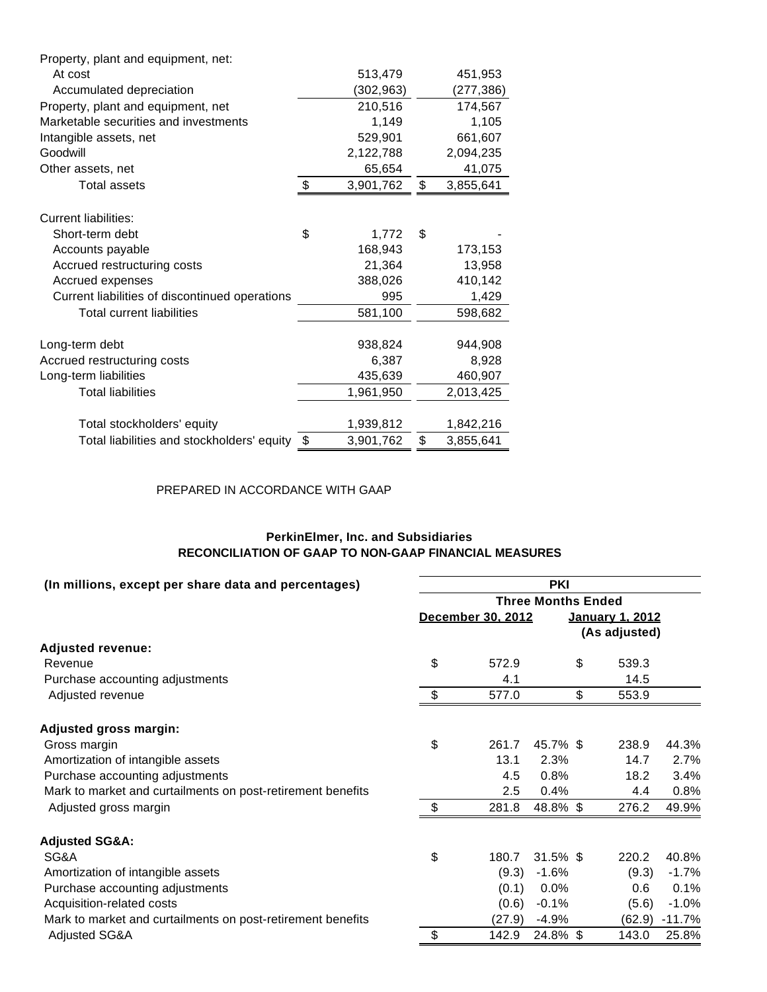| 513,479                                                                                            |       | 451,953   |
|----------------------------------------------------------------------------------------------------|-------|-----------|
| (302,963)                                                                                          |       | (277,386) |
| 210,516                                                                                            |       | 174,567   |
| 1,149                                                                                              |       | 1,105     |
| 529,901                                                                                            |       | 661,607   |
| 2,122,788                                                                                          |       | 2,094,235 |
| 65,654                                                                                             |       | 41,075    |
| \$<br>3,901,762                                                                                    | \$    | 3,855,641 |
|                                                                                                    |       |           |
|                                                                                                    | \$    |           |
| 168,943                                                                                            |       | 173,153   |
| 21,364                                                                                             |       | 13,958    |
| 388,026                                                                                            |       | 410,142   |
| 995                                                                                                |       | 1,429     |
| 581,100                                                                                            |       | 598,682   |
|                                                                                                    |       |           |
| 938,824                                                                                            |       | 944,908   |
| 6,387                                                                                              |       | 8,928     |
| 435,639                                                                                            |       | 460,907   |
| 1,961,950                                                                                          |       | 2,013,425 |
|                                                                                                    |       |           |
| 1,939,812                                                                                          |       | 1,842,216 |
| \$<br>3,901,762                                                                                    | \$    | 3,855,641 |
| \$<br>Current liabilities of discontinued operations<br>Total liabilities and stockholders' equity | 1,772 |           |

# PREPARED IN ACCORDANCE WITH GAAP

# **PerkinElmer, Inc. and Subsidiaries RECONCILIATION OF GAAP TO NON-GAAP FINANCIAL MEASURES**

| (In millions, except per share data and percentages)        | <b>PKI</b>                |                   |                           |    |                 |          |  |  |  |  |
|-------------------------------------------------------------|---------------------------|-------------------|---------------------------|----|-----------------|----------|--|--|--|--|
|                                                             |                           |                   | <b>Three Months Ended</b> |    |                 |          |  |  |  |  |
|                                                             |                           | December 30, 2012 |                           |    | January 1, 2012 |          |  |  |  |  |
|                                                             |                           |                   |                           |    | (As adjusted)   |          |  |  |  |  |
| <b>Adjusted revenue:</b>                                    |                           |                   |                           |    |                 |          |  |  |  |  |
| Revenue                                                     | \$                        | 572.9             |                           | \$ | 539.3           |          |  |  |  |  |
| Purchase accounting adjustments                             |                           | 4.1               |                           |    | 14.5            |          |  |  |  |  |
| Adjusted revenue                                            | $\boldsymbol{\mathsf{S}}$ | 577.0             |                           | \$ | 553.9           |          |  |  |  |  |
| <b>Adjusted gross margin:</b>                               |                           |                   |                           |    |                 |          |  |  |  |  |
| Gross margin                                                | \$                        | 261.7             | 45.7% \$                  |    | 238.9           | 44.3%    |  |  |  |  |
| Amortization of intangible assets                           |                           | 13.1              | 2.3%                      |    | 14.7            | 2.7%     |  |  |  |  |
| Purchase accounting adjustments                             |                           | 4.5               | 0.8%                      |    | 18.2            | 3.4%     |  |  |  |  |
| Mark to market and curtailments on post-retirement benefits |                           | 2.5               | 0.4%                      |    | 4.4             | 0.8%     |  |  |  |  |
| Adjusted gross margin                                       | \$.                       | 281.8             | 48.8% \$                  |    | 276.2           | 49.9%    |  |  |  |  |
| <b>Adjusted SG&amp;A:</b>                                   |                           |                   |                           |    |                 |          |  |  |  |  |
| SG&A                                                        | \$                        | 180.7             | 31.5% \$                  |    | 220.2           | 40.8%    |  |  |  |  |
| Amortization of intangible assets                           |                           | (9.3)             | $-1.6%$                   |    | (9.3)           | $-1.7%$  |  |  |  |  |
| Purchase accounting adjustments                             |                           | (0.1)             | 0.0%                      |    | 0.6             | 0.1%     |  |  |  |  |
| Acquisition-related costs                                   |                           | (0.6)             | $-0.1%$                   |    | (5.6)           | $-1.0%$  |  |  |  |  |
| Mark to market and curtailments on post-retirement benefits |                           | (27.9)            | $-4.9%$                   |    | (62.9)          | $-11.7%$ |  |  |  |  |
| Adjusted SG&A                                               | $\boldsymbol{\mathsf{S}}$ | 142.9             | 24.8% \$                  |    | 143.0           | 25.8%    |  |  |  |  |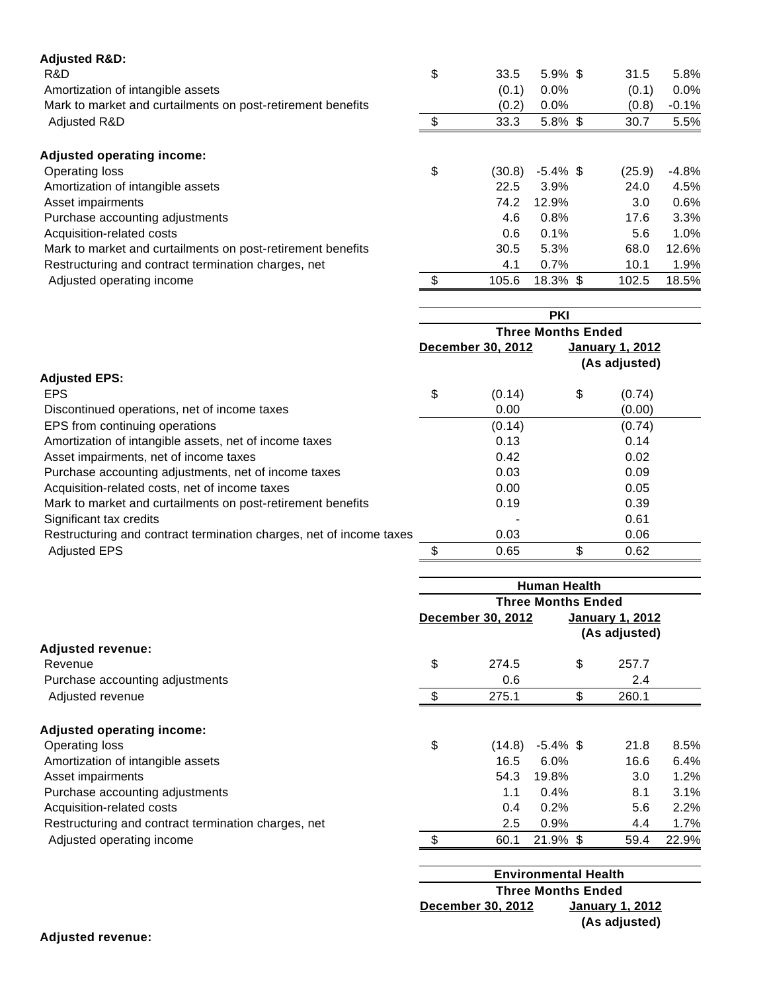| <b>Adjusted R&amp;D:</b>                                    |               |        |             |        |          |
|-------------------------------------------------------------|---------------|--------|-------------|--------|----------|
| R&D                                                         | \$            | 33.5   | $5.9\%$ \$  | 31.5   | 5.8%     |
| Amortization of intangible assets                           |               | (0.1)  | $0.0\%$     | (0.1)  | $0.0\%$  |
| Mark to market and curtailments on post-retirement benefits |               | (0.2)  | $0.0\%$     | (0.8)  | $-0.1\%$ |
| Adjusted R&D                                                | \$            | 33.3   | $5.8\%$ \$  | 30.7   | 5.5%     |
| <b>Adjusted operating income:</b>                           |               |        |             |        |          |
| Operating loss                                              | \$            | (30.8) | $-5.4\%$ \$ | (25.9) | $-4.8\%$ |
| Amortization of intangible assets                           |               | 22.5   | 3.9%        | 24.0   | 4.5%     |
| Asset impairments                                           |               | 74.2   | 12.9%       | 3.0    | 0.6%     |
| Purchase accounting adjustments                             |               | 4.6    | 0.8%        | 17.6   | 3.3%     |
| Acquisition-related costs                                   |               | 0.6    | 0.1%        | 5.6    | 1.0%     |
| Mark to market and curtailments on post-retirement benefits |               | 30.5   | 5.3%        | 68.0   | 12.6%    |
| Restructuring and contract termination charges, net         |               | 4.1    | 0.7%        | 10.1   | 1.9%     |
| Adjusted operating income                                   | $\frac{1}{2}$ | 105.6  | 18.3% \$    | 102.5  | 18.5%    |

|                                                                     | <b>PKI</b> |                           |    |                        |  |  |
|---------------------------------------------------------------------|------------|---------------------------|----|------------------------|--|--|
|                                                                     |            | <b>Three Months Ended</b> |    |                        |  |  |
|                                                                     |            | December 30, 2012         |    | <b>January 1, 2012</b> |  |  |
|                                                                     |            |                           |    | (As adjusted)          |  |  |
| <b>Adjusted EPS:</b>                                                |            |                           |    |                        |  |  |
| <b>EPS</b>                                                          | \$         | (0.14)                    | \$ | (0.74)                 |  |  |
| Discontinued operations, net of income taxes                        |            | 0.00                      |    | (0.00)                 |  |  |
| EPS from continuing operations                                      |            | (0.14)                    |    | (0.74)                 |  |  |
| Amortization of intangible assets, net of income taxes              |            | 0.13                      |    | 0.14                   |  |  |
| Asset impairments, net of income taxes                              |            | 0.42                      |    | 0.02                   |  |  |
| Purchase accounting adjustments, net of income taxes                |            | 0.03                      |    | 0.09                   |  |  |
| Acquisition-related costs, net of income taxes                      |            | 0.00                      |    | 0.05                   |  |  |
| Mark to market and curtailments on post-retirement benefits         |            | 0.19                      |    | 0.39                   |  |  |
| Significant tax credits                                             |            |                           |    | 0.61                   |  |  |
| Restructuring and contract termination charges, net of income taxes |            | 0.03                      |    | 0.06                   |  |  |
| <b>Adjusted EPS</b>                                                 |            | 0.65                      |    | 0.62                   |  |  |

|                                                     |               | <b>Human Health</b><br><b>Three Months Ended</b> |             |    |                                         |         |  |  |
|-----------------------------------------------------|---------------|--------------------------------------------------|-------------|----|-----------------------------------------|---------|--|--|
|                                                     |               |                                                  |             |    |                                         |         |  |  |
|                                                     |               | December 30, 2012                                |             |    | <b>January 1, 2012</b><br>(As adjusted) |         |  |  |
| <b>Adjusted revenue:</b>                            |               |                                                  |             |    |                                         |         |  |  |
| Revenue                                             | \$            | 274.5                                            |             | \$ | 257.7                                   |         |  |  |
| Purchase accounting adjustments                     |               | 0.6                                              |             |    | 2.4                                     |         |  |  |
| Adjusted revenue                                    | -\$           | 275.1                                            |             | \$ | 260.1                                   |         |  |  |
| <b>Adjusted operating income:</b>                   |               |                                                  |             |    |                                         |         |  |  |
| Operating loss                                      | \$            | (14.8)                                           | $-5.4\%$ \$ |    | 21.8                                    | 8.5%    |  |  |
| Amortization of intangible assets                   |               | 16.5                                             | 6.0%        |    | 16.6                                    | 6.4%    |  |  |
| Asset impairments                                   |               | 54.3                                             | 19.8%       |    | 3.0                                     | 1.2%    |  |  |
| Purchase accounting adjustments                     |               | 1.1                                              | 0.4%        |    | 8.1                                     | 3.1%    |  |  |
| Acquisition-related costs                           |               | 0.4                                              | 0.2%        |    | 5.6                                     | 2.2%    |  |  |
| Restructuring and contract termination charges, net |               | 2.5                                              | 0.9%        |    | 4.4                                     | $1.7\%$ |  |  |
| Adjusted operating income                           | $\mathcal{L}$ | 60.1                                             | $21.9\%$ \$ |    | 59.4                                    | 22.9%   |  |  |

| <b>Environmental Health</b>                 |                           |  |  |  |
|---------------------------------------------|---------------------------|--|--|--|
|                                             | <b>Three Months Ended</b> |  |  |  |
| December 30, 2012<br><u>January 1, 2012</u> |                           |  |  |  |
|                                             | (As adjusted)             |  |  |  |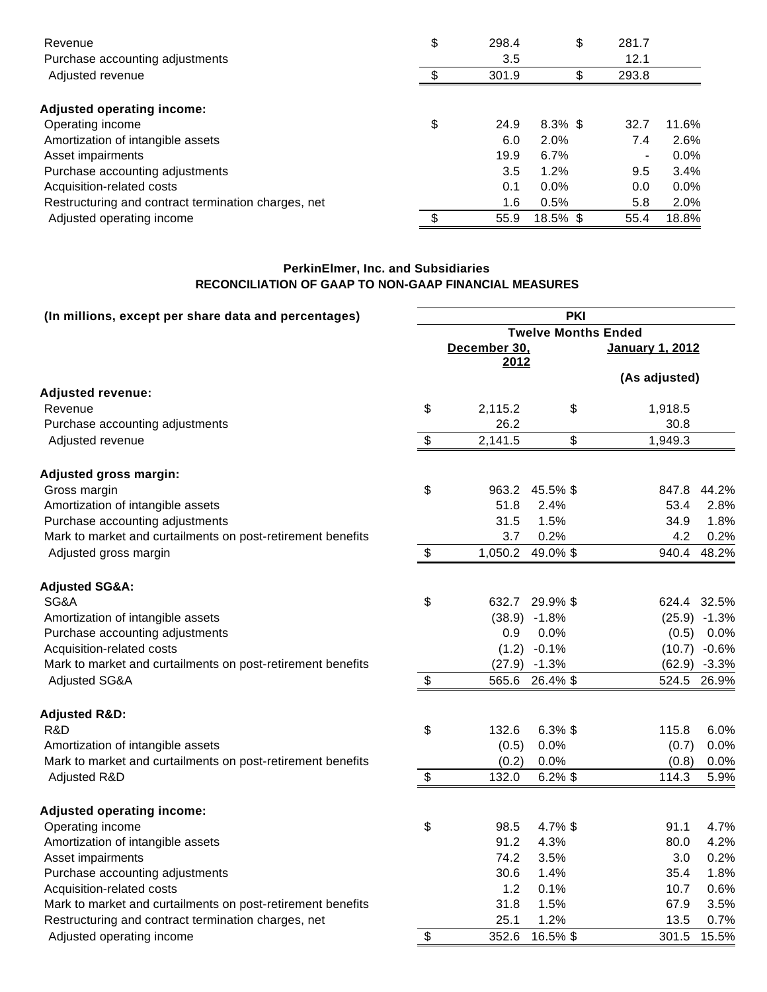| Revenue<br>Purchase accounting adjustments          | \$ | 298.4<br>3.5 | \$         | 281.7<br>12.1 |         |
|-----------------------------------------------------|----|--------------|------------|---------------|---------|
| Adjusted revenue                                    | ደ  | 301.9        | \$         | 293.8         |         |
| <b>Adjusted operating income:</b>                   |    |              |            |               |         |
| Operating income                                    | \$ | 24.9         | $8.3\%$ \$ | 32.7          | 11.6%   |
| Amortization of intangible assets                   |    | 6.0          | 2.0%       | 7.4           | 2.6%    |
| Asset impairments                                   |    | 19.9         | 6.7%       |               | $0.0\%$ |
| Purchase accounting adjustments                     |    | 3.5          | 1.2%       | 9.5           | 3.4%    |
| Acquisition-related costs                           |    | 0.1          | 0.0%       | 0.0           | $0.0\%$ |
| Restructuring and contract termination charges, net |    | 1.6          | 0.5%       | 5.8           | 2.0%    |
| Adjusted operating income                           | \$ | 55.9         | 18.5% \$   | 55.4          | 18.8%   |

# **PerkinElmer, Inc. and Subsidiaries RECONCILIATION OF GAAP TO NON-GAAP FINANCIAL MEASURES**

| <b>Twelve Months Ended</b><br>December 30,<br>January 1, 2012<br>2012<br>(As adjusted)<br><b>Adjusted revenue:</b><br>\$<br>Revenue<br>\$<br>2,115.2<br>1,918.5<br>Purchase accounting adjustments<br>26.2<br>30.8<br>\$<br>\$<br>2,141.5<br>1,949.3<br>Adjusted revenue<br>\$<br>Gross margin<br>963.2 45.5% \$<br>847.8 44.2%<br>Amortization of intangible assets<br>51.8<br>2.4%<br>53.4<br>2.8%<br>1.5%<br>1.8%<br>Purchase accounting adjustments<br>31.5<br>34.9<br>Mark to market and curtailments on post-retirement benefits<br>0.2%<br>0.2%<br>3.7<br>4.2<br>\$<br>1,050.2<br>49.0% \$<br>48.2%<br>Adjusted gross margin<br>940.4<br><b>Adjusted SG&amp;A:</b><br>SG&A<br>\$<br>29.9% \$<br>624.4 32.5%<br>632.7<br>Amortization of intangible assets<br>(38.9)<br>$-1.8%$<br>$(25.9) -1.3%$<br>Purchase accounting adjustments<br>0.9<br>0.0%<br>(0.5)<br>0.0%<br>Acquisition-related costs<br>(1.2)<br>$-0.1%$<br>$(10.7) -0.6%$<br>$(27.9) -1.3%$<br>Mark to market and curtailments on post-retirement benefits<br>$(62.9) -3.3%$<br>\$<br>26.4% \$<br>Adjusted SG&A<br>565.6<br>524.5<br>26.9%<br><b>Adjusted R&amp;D:</b><br>R&D<br>\$<br>$6.3\%$ \$<br>132.6<br>115.8<br>6.0%<br>Amortization of intangible assets<br>(0.5)<br>0.0%<br>(0.7)<br>0.0%<br>Mark to market and curtailments on post-retirement benefits<br>0.0%<br>(0.2)<br>(0.8)<br>0.0%<br>\$<br>132.0<br>$6.2\%$ \$<br>114.3<br>5.9%<br>Adjusted R&D<br>\$<br>Operating income<br>98.5<br>4.7% \$<br>91.1<br>4.7%<br>91.2<br>4.2%<br>Amortization of intangible assets<br>4.3%<br>80.0<br>3.5%<br>Asset impairments<br>74.2<br>3.0<br>0.2%<br>30.6<br>1.4%<br>35.4<br>1.8%<br>Purchase accounting adjustments<br>1.2<br>0.1%<br>10.7<br>Acquisition-related costs<br>0.6%<br>Mark to market and curtailments on post-retirement benefits<br>31.8<br>1.5%<br>67.9<br>3.5%<br>1.2%<br>Restructuring and contract termination charges, net<br>25.1<br>13.5<br>0.7%<br>\$<br>Adjusted operating income<br>352.6<br>16.5% \$<br>301.5<br>15.5% |                                                      |  | <b>PKI</b> |  |  |  |  |  |
|----------------------------------------------------------------------------------------------------------------------------------------------------------------------------------------------------------------------------------------------------------------------------------------------------------------------------------------------------------------------------------------------------------------------------------------------------------------------------------------------------------------------------------------------------------------------------------------------------------------------------------------------------------------------------------------------------------------------------------------------------------------------------------------------------------------------------------------------------------------------------------------------------------------------------------------------------------------------------------------------------------------------------------------------------------------------------------------------------------------------------------------------------------------------------------------------------------------------------------------------------------------------------------------------------------------------------------------------------------------------------------------------------------------------------------------------------------------------------------------------------------------------------------------------------------------------------------------------------------------------------------------------------------------------------------------------------------------------------------------------------------------------------------------------------------------------------------------------------------------------------------------------------------------------------------------------------------------------------------------------------------------------------|------------------------------------------------------|--|------------|--|--|--|--|--|
|                                                                                                                                                                                                                                                                                                                                                                                                                                                                                                                                                                                                                                                                                                                                                                                                                                                                                                                                                                                                                                                                                                                                                                                                                                                                                                                                                                                                                                                                                                                                                                                                                                                                                                                                                                                                                                                                                                                                                                                                                            | (In millions, except per share data and percentages) |  |            |  |  |  |  |  |
|                                                                                                                                                                                                                                                                                                                                                                                                                                                                                                                                                                                                                                                                                                                                                                                                                                                                                                                                                                                                                                                                                                                                                                                                                                                                                                                                                                                                                                                                                                                                                                                                                                                                                                                                                                                                                                                                                                                                                                                                                            |                                                      |  |            |  |  |  |  |  |
|                                                                                                                                                                                                                                                                                                                                                                                                                                                                                                                                                                                                                                                                                                                                                                                                                                                                                                                                                                                                                                                                                                                                                                                                                                                                                                                                                                                                                                                                                                                                                                                                                                                                                                                                                                                                                                                                                                                                                                                                                            |                                                      |  |            |  |  |  |  |  |
|                                                                                                                                                                                                                                                                                                                                                                                                                                                                                                                                                                                                                                                                                                                                                                                                                                                                                                                                                                                                                                                                                                                                                                                                                                                                                                                                                                                                                                                                                                                                                                                                                                                                                                                                                                                                                                                                                                                                                                                                                            |                                                      |  |            |  |  |  |  |  |
|                                                                                                                                                                                                                                                                                                                                                                                                                                                                                                                                                                                                                                                                                                                                                                                                                                                                                                                                                                                                                                                                                                                                                                                                                                                                                                                                                                                                                                                                                                                                                                                                                                                                                                                                                                                                                                                                                                                                                                                                                            |                                                      |  |            |  |  |  |  |  |
|                                                                                                                                                                                                                                                                                                                                                                                                                                                                                                                                                                                                                                                                                                                                                                                                                                                                                                                                                                                                                                                                                                                                                                                                                                                                                                                                                                                                                                                                                                                                                                                                                                                                                                                                                                                                                                                                                                                                                                                                                            |                                                      |  |            |  |  |  |  |  |
|                                                                                                                                                                                                                                                                                                                                                                                                                                                                                                                                                                                                                                                                                                                                                                                                                                                                                                                                                                                                                                                                                                                                                                                                                                                                                                                                                                                                                                                                                                                                                                                                                                                                                                                                                                                                                                                                                                                                                                                                                            |                                                      |  |            |  |  |  |  |  |
|                                                                                                                                                                                                                                                                                                                                                                                                                                                                                                                                                                                                                                                                                                                                                                                                                                                                                                                                                                                                                                                                                                                                                                                                                                                                                                                                                                                                                                                                                                                                                                                                                                                                                                                                                                                                                                                                                                                                                                                                                            |                                                      |  |            |  |  |  |  |  |
|                                                                                                                                                                                                                                                                                                                                                                                                                                                                                                                                                                                                                                                                                                                                                                                                                                                                                                                                                                                                                                                                                                                                                                                                                                                                                                                                                                                                                                                                                                                                                                                                                                                                                                                                                                                                                                                                                                                                                                                                                            |                                                      |  |            |  |  |  |  |  |
|                                                                                                                                                                                                                                                                                                                                                                                                                                                                                                                                                                                                                                                                                                                                                                                                                                                                                                                                                                                                                                                                                                                                                                                                                                                                                                                                                                                                                                                                                                                                                                                                                                                                                                                                                                                                                                                                                                                                                                                                                            | <b>Adjusted gross margin:</b>                        |  |            |  |  |  |  |  |
|                                                                                                                                                                                                                                                                                                                                                                                                                                                                                                                                                                                                                                                                                                                                                                                                                                                                                                                                                                                                                                                                                                                                                                                                                                                                                                                                                                                                                                                                                                                                                                                                                                                                                                                                                                                                                                                                                                                                                                                                                            |                                                      |  |            |  |  |  |  |  |
|                                                                                                                                                                                                                                                                                                                                                                                                                                                                                                                                                                                                                                                                                                                                                                                                                                                                                                                                                                                                                                                                                                                                                                                                                                                                                                                                                                                                                                                                                                                                                                                                                                                                                                                                                                                                                                                                                                                                                                                                                            |                                                      |  |            |  |  |  |  |  |
|                                                                                                                                                                                                                                                                                                                                                                                                                                                                                                                                                                                                                                                                                                                                                                                                                                                                                                                                                                                                                                                                                                                                                                                                                                                                                                                                                                                                                                                                                                                                                                                                                                                                                                                                                                                                                                                                                                                                                                                                                            |                                                      |  |            |  |  |  |  |  |
|                                                                                                                                                                                                                                                                                                                                                                                                                                                                                                                                                                                                                                                                                                                                                                                                                                                                                                                                                                                                                                                                                                                                                                                                                                                                                                                                                                                                                                                                                                                                                                                                                                                                                                                                                                                                                                                                                                                                                                                                                            |                                                      |  |            |  |  |  |  |  |
|                                                                                                                                                                                                                                                                                                                                                                                                                                                                                                                                                                                                                                                                                                                                                                                                                                                                                                                                                                                                                                                                                                                                                                                                                                                                                                                                                                                                                                                                                                                                                                                                                                                                                                                                                                                                                                                                                                                                                                                                                            |                                                      |  |            |  |  |  |  |  |
|                                                                                                                                                                                                                                                                                                                                                                                                                                                                                                                                                                                                                                                                                                                                                                                                                                                                                                                                                                                                                                                                                                                                                                                                                                                                                                                                                                                                                                                                                                                                                                                                                                                                                                                                                                                                                                                                                                                                                                                                                            |                                                      |  |            |  |  |  |  |  |
|                                                                                                                                                                                                                                                                                                                                                                                                                                                                                                                                                                                                                                                                                                                                                                                                                                                                                                                                                                                                                                                                                                                                                                                                                                                                                                                                                                                                                                                                                                                                                                                                                                                                                                                                                                                                                                                                                                                                                                                                                            |                                                      |  |            |  |  |  |  |  |
|                                                                                                                                                                                                                                                                                                                                                                                                                                                                                                                                                                                                                                                                                                                                                                                                                                                                                                                                                                                                                                                                                                                                                                                                                                                                                                                                                                                                                                                                                                                                                                                                                                                                                                                                                                                                                                                                                                                                                                                                                            |                                                      |  |            |  |  |  |  |  |
|                                                                                                                                                                                                                                                                                                                                                                                                                                                                                                                                                                                                                                                                                                                                                                                                                                                                                                                                                                                                                                                                                                                                                                                                                                                                                                                                                                                                                                                                                                                                                                                                                                                                                                                                                                                                                                                                                                                                                                                                                            |                                                      |  |            |  |  |  |  |  |
|                                                                                                                                                                                                                                                                                                                                                                                                                                                                                                                                                                                                                                                                                                                                                                                                                                                                                                                                                                                                                                                                                                                                                                                                                                                                                                                                                                                                                                                                                                                                                                                                                                                                                                                                                                                                                                                                                                                                                                                                                            |                                                      |  |            |  |  |  |  |  |
|                                                                                                                                                                                                                                                                                                                                                                                                                                                                                                                                                                                                                                                                                                                                                                                                                                                                                                                                                                                                                                                                                                                                                                                                                                                                                                                                                                                                                                                                                                                                                                                                                                                                                                                                                                                                                                                                                                                                                                                                                            |                                                      |  |            |  |  |  |  |  |
|                                                                                                                                                                                                                                                                                                                                                                                                                                                                                                                                                                                                                                                                                                                                                                                                                                                                                                                                                                                                                                                                                                                                                                                                                                                                                                                                                                                                                                                                                                                                                                                                                                                                                                                                                                                                                                                                                                                                                                                                                            |                                                      |  |            |  |  |  |  |  |
|                                                                                                                                                                                                                                                                                                                                                                                                                                                                                                                                                                                                                                                                                                                                                                                                                                                                                                                                                                                                                                                                                                                                                                                                                                                                                                                                                                                                                                                                                                                                                                                                                                                                                                                                                                                                                                                                                                                                                                                                                            |                                                      |  |            |  |  |  |  |  |
|                                                                                                                                                                                                                                                                                                                                                                                                                                                                                                                                                                                                                                                                                                                                                                                                                                                                                                                                                                                                                                                                                                                                                                                                                                                                                                                                                                                                                                                                                                                                                                                                                                                                                                                                                                                                                                                                                                                                                                                                                            |                                                      |  |            |  |  |  |  |  |
|                                                                                                                                                                                                                                                                                                                                                                                                                                                                                                                                                                                                                                                                                                                                                                                                                                                                                                                                                                                                                                                                                                                                                                                                                                                                                                                                                                                                                                                                                                                                                                                                                                                                                                                                                                                                                                                                                                                                                                                                                            |                                                      |  |            |  |  |  |  |  |
|                                                                                                                                                                                                                                                                                                                                                                                                                                                                                                                                                                                                                                                                                                                                                                                                                                                                                                                                                                                                                                                                                                                                                                                                                                                                                                                                                                                                                                                                                                                                                                                                                                                                                                                                                                                                                                                                                                                                                                                                                            |                                                      |  |            |  |  |  |  |  |
|                                                                                                                                                                                                                                                                                                                                                                                                                                                                                                                                                                                                                                                                                                                                                                                                                                                                                                                                                                                                                                                                                                                                                                                                                                                                                                                                                                                                                                                                                                                                                                                                                                                                                                                                                                                                                                                                                                                                                                                                                            |                                                      |  |            |  |  |  |  |  |
|                                                                                                                                                                                                                                                                                                                                                                                                                                                                                                                                                                                                                                                                                                                                                                                                                                                                                                                                                                                                                                                                                                                                                                                                                                                                                                                                                                                                                                                                                                                                                                                                                                                                                                                                                                                                                                                                                                                                                                                                                            |                                                      |  |            |  |  |  |  |  |
|                                                                                                                                                                                                                                                                                                                                                                                                                                                                                                                                                                                                                                                                                                                                                                                                                                                                                                                                                                                                                                                                                                                                                                                                                                                                                                                                                                                                                                                                                                                                                                                                                                                                                                                                                                                                                                                                                                                                                                                                                            | <b>Adjusted operating income:</b>                    |  |            |  |  |  |  |  |
|                                                                                                                                                                                                                                                                                                                                                                                                                                                                                                                                                                                                                                                                                                                                                                                                                                                                                                                                                                                                                                                                                                                                                                                                                                                                                                                                                                                                                                                                                                                                                                                                                                                                                                                                                                                                                                                                                                                                                                                                                            |                                                      |  |            |  |  |  |  |  |
|                                                                                                                                                                                                                                                                                                                                                                                                                                                                                                                                                                                                                                                                                                                                                                                                                                                                                                                                                                                                                                                                                                                                                                                                                                                                                                                                                                                                                                                                                                                                                                                                                                                                                                                                                                                                                                                                                                                                                                                                                            |                                                      |  |            |  |  |  |  |  |
|                                                                                                                                                                                                                                                                                                                                                                                                                                                                                                                                                                                                                                                                                                                                                                                                                                                                                                                                                                                                                                                                                                                                                                                                                                                                                                                                                                                                                                                                                                                                                                                                                                                                                                                                                                                                                                                                                                                                                                                                                            |                                                      |  |            |  |  |  |  |  |
|                                                                                                                                                                                                                                                                                                                                                                                                                                                                                                                                                                                                                                                                                                                                                                                                                                                                                                                                                                                                                                                                                                                                                                                                                                                                                                                                                                                                                                                                                                                                                                                                                                                                                                                                                                                                                                                                                                                                                                                                                            |                                                      |  |            |  |  |  |  |  |
|                                                                                                                                                                                                                                                                                                                                                                                                                                                                                                                                                                                                                                                                                                                                                                                                                                                                                                                                                                                                                                                                                                                                                                                                                                                                                                                                                                                                                                                                                                                                                                                                                                                                                                                                                                                                                                                                                                                                                                                                                            |                                                      |  |            |  |  |  |  |  |
|                                                                                                                                                                                                                                                                                                                                                                                                                                                                                                                                                                                                                                                                                                                                                                                                                                                                                                                                                                                                                                                                                                                                                                                                                                                                                                                                                                                                                                                                                                                                                                                                                                                                                                                                                                                                                                                                                                                                                                                                                            |                                                      |  |            |  |  |  |  |  |
|                                                                                                                                                                                                                                                                                                                                                                                                                                                                                                                                                                                                                                                                                                                                                                                                                                                                                                                                                                                                                                                                                                                                                                                                                                                                                                                                                                                                                                                                                                                                                                                                                                                                                                                                                                                                                                                                                                                                                                                                                            |                                                      |  |            |  |  |  |  |  |
|                                                                                                                                                                                                                                                                                                                                                                                                                                                                                                                                                                                                                                                                                                                                                                                                                                                                                                                                                                                                                                                                                                                                                                                                                                                                                                                                                                                                                                                                                                                                                                                                                                                                                                                                                                                                                                                                                                                                                                                                                            |                                                      |  |            |  |  |  |  |  |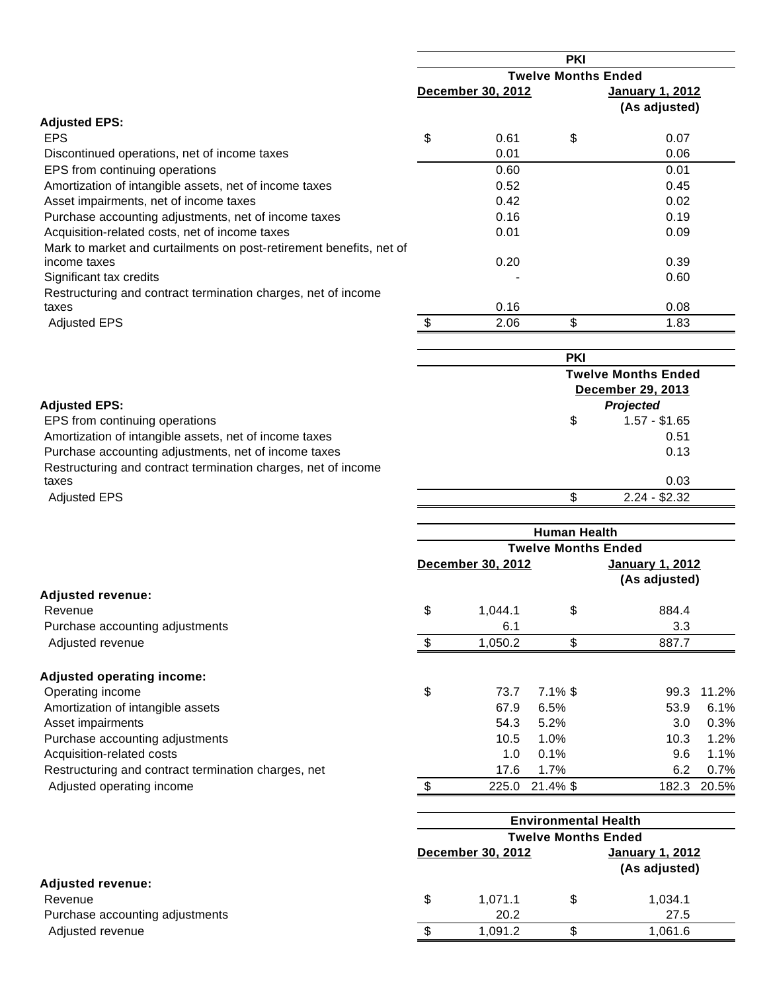|                                                                     | <b>PKI</b><br><b>Twelve Months Ended</b> |                   |    |                                         |
|---------------------------------------------------------------------|------------------------------------------|-------------------|----|-----------------------------------------|
|                                                                     |                                          |                   |    |                                         |
|                                                                     |                                          | December 30, 2012 |    | <b>January 1, 2012</b><br>(As adjusted) |
| <b>Adjusted EPS:</b>                                                |                                          |                   |    |                                         |
| <b>EPS</b>                                                          | \$                                       | 0.61              | \$ | 0.07                                    |
| Discontinued operations, net of income taxes                        |                                          | 0.01              |    | 0.06                                    |
| EPS from continuing operations                                      |                                          | 0.60              |    | 0.01                                    |
| Amortization of intangible assets, net of income taxes              |                                          | 0.52              |    | 0.45                                    |
| Asset impairments, net of income taxes                              |                                          | 0.42              |    | 0.02                                    |
| Purchase accounting adjustments, net of income taxes                |                                          | 0.16              |    | 0.19                                    |
| Acquisition-related costs, net of income taxes                      |                                          | 0.01              |    | 0.09                                    |
| Mark to market and curtailments on post-retirement benefits, net of |                                          |                   |    |                                         |
| income taxes                                                        |                                          | 0.20              |    | 0.39                                    |
| Significant tax credits                                             |                                          |                   |    | 0.60                                    |
| Restructuring and contract termination charges, net of income       |                                          |                   |    |                                         |
| taxes                                                               |                                          | 0.16              |    | 0.08                                    |
| <b>Adjusted EPS</b>                                                 |                                          | 2.06              | \$ | 1.83                                    |

|                                                               | <b>PKI</b> |                            |
|---------------------------------------------------------------|------------|----------------------------|
|                                                               |            | <b>Twelve Months Ended</b> |
|                                                               |            | <b>December 29, 2013</b>   |
| <b>Adjusted EPS:</b>                                          |            | Projected                  |
| EPS from continuing operations                                | \$         | $1.57 - $1.65$             |
| Amortization of intangible assets, net of income taxes        |            | 0.51                       |
| Purchase accounting adjustments, net of income taxes          |            | 0.13                       |
| Restructuring and contract termination charges, net of income |            |                            |
| taxes                                                         |            | 0.03                       |
| <b>Adjusted EPS</b>                                           |            | $2.24 - $2.32$             |

|                                                     |     | <b>Human Health</b><br><b>Twelve Months Ended</b> |             |                                         |       |  |  |  |
|-----------------------------------------------------|-----|---------------------------------------------------|-------------|-----------------------------------------|-------|--|--|--|
|                                                     |     |                                                   |             |                                         |       |  |  |  |
|                                                     |     | December 30, 2012                                 |             | <b>January 1, 2012</b><br>(As adjusted) |       |  |  |  |
| <b>Adjusted revenue:</b>                            |     |                                                   |             |                                         |       |  |  |  |
| Revenue                                             | \$  | 1,044.1                                           | \$          | 884.4                                   |       |  |  |  |
| Purchase accounting adjustments                     |     | 6.1                                               |             | 3.3                                     |       |  |  |  |
| Adjusted revenue                                    | \$. | 1,050.2                                           | \$          | 887.7                                   |       |  |  |  |
| <b>Adjusted operating income:</b>                   |     |                                                   |             |                                         |       |  |  |  |
| Operating income                                    | \$  | 73.7                                              | $7.1\%$ \$  | 99.3                                    | 11.2% |  |  |  |
| Amortization of intangible assets                   |     | 67.9                                              | 6.5%        | 53.9                                    | 6.1%  |  |  |  |
| Asset impairments                                   |     | 54.3                                              | 5.2%        | 3.0                                     | 0.3%  |  |  |  |
| Purchase accounting adjustments                     |     | 10.5                                              | $1.0\%$     | 10.3                                    | 1.2%  |  |  |  |
| Acquisition-related costs                           |     | 1.0                                               | 0.1%        | 9.6                                     | 1.1%  |  |  |  |
| Restructuring and contract termination charges, net |     | 17.6                                              | 1.7%        | 6.2                                     | 0.7%  |  |  |  |
| Adjusted operating income                           | \$  | 225.0                                             | $21.4\%$ \$ | 182.3                                   | 20.5% |  |  |  |

|                                 | <b>Environmental Health</b><br><b>Twelve Months Ended</b> |                          |     |                                         |  |
|---------------------------------|-----------------------------------------------------------|--------------------------|-----|-----------------------------------------|--|
|                                 |                                                           | <b>December 30, 2012</b> |     | <u>January 1, 2012</u><br>(As adjusted) |  |
| <b>Adjusted revenue:</b>        |                                                           |                          |     |                                         |  |
| Revenue                         | \$                                                        | 1.071.1                  | \$. | 1,034.1                                 |  |
| Purchase accounting adjustments |                                                           | 20.2                     |     | 27.5                                    |  |
| Adjusted revenue                |                                                           | 1.091.2                  |     | 1,061.6                                 |  |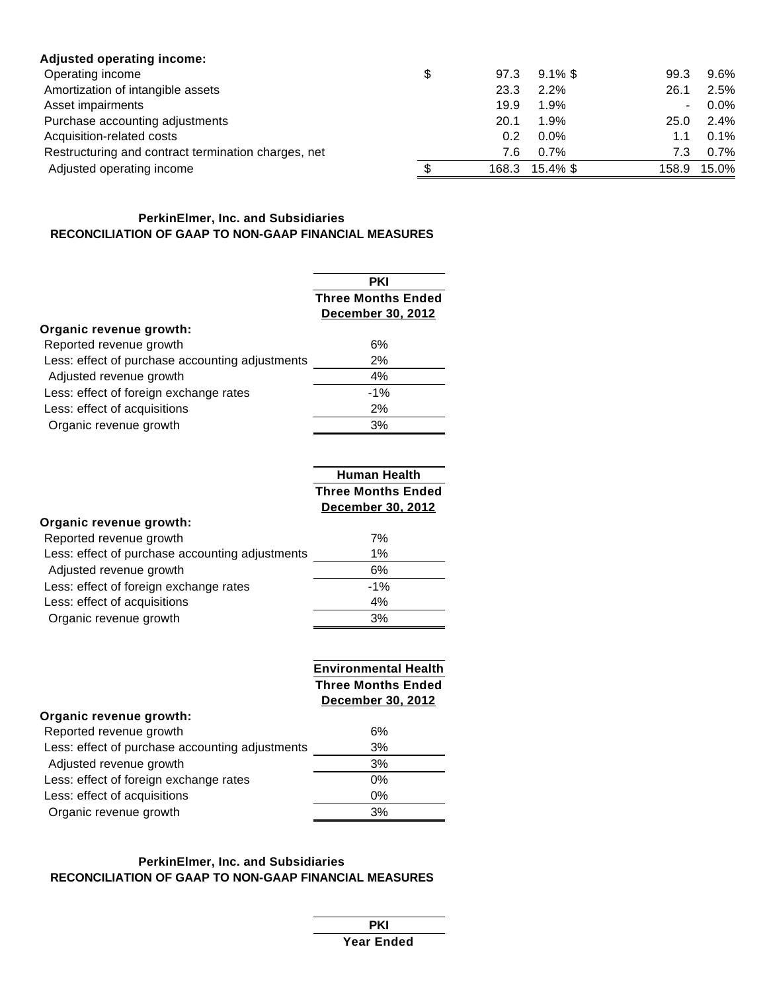| <b>Adjusted operating income:</b>                   |   |       |            |       |         |
|-----------------------------------------------------|---|-------|------------|-------|---------|
| Operating income                                    | S | 97.3  | $9.1\%$ \$ | 99.3  | 9.6%    |
| Amortization of intangible assets                   |   | 23.3  | 2.2%       | 26.1  | 2.5%    |
| Asset impairments                                   |   | 19.9  | 1.9%       | Ξ.    | $0.0\%$ |
| Purchase accounting adjustments                     |   | 20.1  | 1.9%       | 25.0  | $2.4\%$ |
| Acquisition-related costs                           |   | 0.2   | $0.0\%$    | 1.1   | $0.1\%$ |
| Restructuring and contract termination charges, net |   | 7.6   | $0.7\%$    | 7.3   | $0.7\%$ |
| Adjusted operating income                           |   | 168.3 | 15.4% \$   | 158.9 | 15.0%   |

## **PerkinElmer, Inc. and Subsidiaries RECONCILIATION OF GAAP TO NON-GAAP FINANCIAL MEASURES**

| <b>Three Months Ended</b><br><b>December 30, 2012</b> |
|-------------------------------------------------------|
|                                                       |
|                                                       |
| 6%                                                    |
| Less: effect of purchase accounting adjustments<br>2% |
| 4%                                                    |
| $-1\%$                                                |
| 2%                                                    |
| 3%                                                    |
|                                                       |

| <b>Human Health</b>       |
|---------------------------|
| <b>Three Months Ended</b> |
| <b>December 30, 2012</b>  |
|                           |

| Organic revenue growth:                         |        |
|-------------------------------------------------|--------|
| Reported revenue growth                         | 7%     |
| Less: effect of purchase accounting adjustments | $1\%$  |
| Adjusted revenue growth                         | 6%     |
| Less: effect of foreign exchange rates          | $-1\%$ |
| Less: effect of acquisitions                    | 4%     |
| Organic revenue growth                          | 3%     |
|                                                 |        |

|                                                 | <b>Environmental Health</b> |  |
|-------------------------------------------------|-----------------------------|--|
|                                                 | <b>Three Months Ended</b>   |  |
|                                                 | December 30, 2012           |  |
| Organic revenue growth:                         |                             |  |
| Reported revenue growth                         | 6%                          |  |
| Less: effect of purchase accounting adjustments | 3%                          |  |
| Adjusted revenue growth                         | 3%                          |  |
| Less: effect of foreign exchange rates          | 0%                          |  |
| Less: effect of acquisitions                    | 0%                          |  |
| Organic revenue growth                          | 3%                          |  |
|                                                 |                             |  |

# **PerkinElmer, Inc. and Subsidiaries RECONCILIATION OF GAAP TO NON-GAAP FINANCIAL MEASURES**

| PKI        |  |
|------------|--|
| Year Ended |  |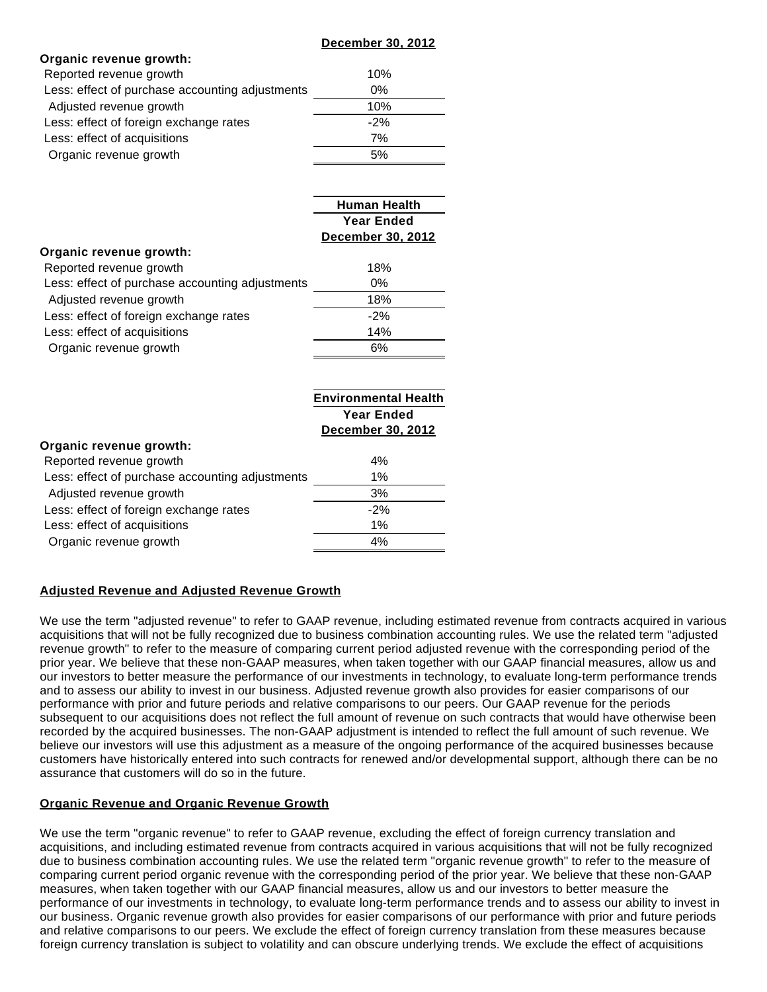|                                                 | PCOCINDOI OU, EUIL |
|-------------------------------------------------|--------------------|
| Organic revenue growth:                         |                    |
| Reported revenue growth                         | 10%                |
| Less: effect of purchase accounting adjustments | $0\%$              |
| Adjusted revenue growth                         | 10%                |
| Less: effect of foreign exchange rates          | $-2%$              |
| Less: effect of acquisitions                    | 7%                 |
| Organic revenue growth                          | 5%                 |

|                                                 | <b>Human Health</b>      |
|-------------------------------------------------|--------------------------|
|                                                 | <b>Year Ended</b>        |
|                                                 | <b>December 30, 2012</b> |
| Organic revenue growth:                         |                          |
| Reported revenue growth                         | 18%                      |
| Less: effect of purchase accounting adjustments | $0\%$                    |
| Adjusted revenue growth                         | 18%                      |
| Less: effect of foreign exchange rates          | $-2\%$                   |
| Less: effect of acquisitions                    | 14%                      |
| Organic revenue growth                          | 6%                       |

| <b>Environmental Health</b> |
|-----------------------------|
| <b>Year Ended</b>           |
| December 30, 2012           |
|                             |
| 4%                          |
| $1\%$                       |
| 3%                          |
| $-2%$                       |
| 1%                          |
| 4%                          |
|                             |

#### **Adjusted Revenue and Adjusted Revenue Growth**

We use the term "adjusted revenue" to refer to GAAP revenue, including estimated revenue from contracts acquired in various acquisitions that will not be fully recognized due to business combination accounting rules. We use the related term "adjusted revenue growth" to refer to the measure of comparing current period adjusted revenue with the corresponding period of the prior year. We believe that these non-GAAP measures, when taken together with our GAAP financial measures, allow us and our investors to better measure the performance of our investments in technology, to evaluate long-term performance trends and to assess our ability to invest in our business. Adjusted revenue growth also provides for easier comparisons of our performance with prior and future periods and relative comparisons to our peers. Our GAAP revenue for the periods subsequent to our acquisitions does not reflect the full amount of revenue on such contracts that would have otherwise been recorded by the acquired businesses. The non-GAAP adjustment is intended to reflect the full amount of such revenue. We believe our investors will use this adjustment as a measure of the ongoing performance of the acquired businesses because customers have historically entered into such contracts for renewed and/or developmental support, although there can be no assurance that customers will do so in the future.

**December 30, 2012**

# **Organic Revenue and Organic Revenue Growth**

We use the term "organic revenue" to refer to GAAP revenue, excluding the effect of foreign currency translation and acquisitions, and including estimated revenue from contracts acquired in various acquisitions that will not be fully recognized due to business combination accounting rules. We use the related term "organic revenue growth" to refer to the measure of comparing current period organic revenue with the corresponding period of the prior year. We believe that these non-GAAP measures, when taken together with our GAAP financial measures, allow us and our investors to better measure the performance of our investments in technology, to evaluate long-term performance trends and to assess our ability to invest in our business. Organic revenue growth also provides for easier comparisons of our performance with prior and future periods and relative comparisons to our peers. We exclude the effect of foreign currency translation from these measures because foreign currency translation is subject to volatility and can obscure underlying trends. We exclude the effect of acquisitions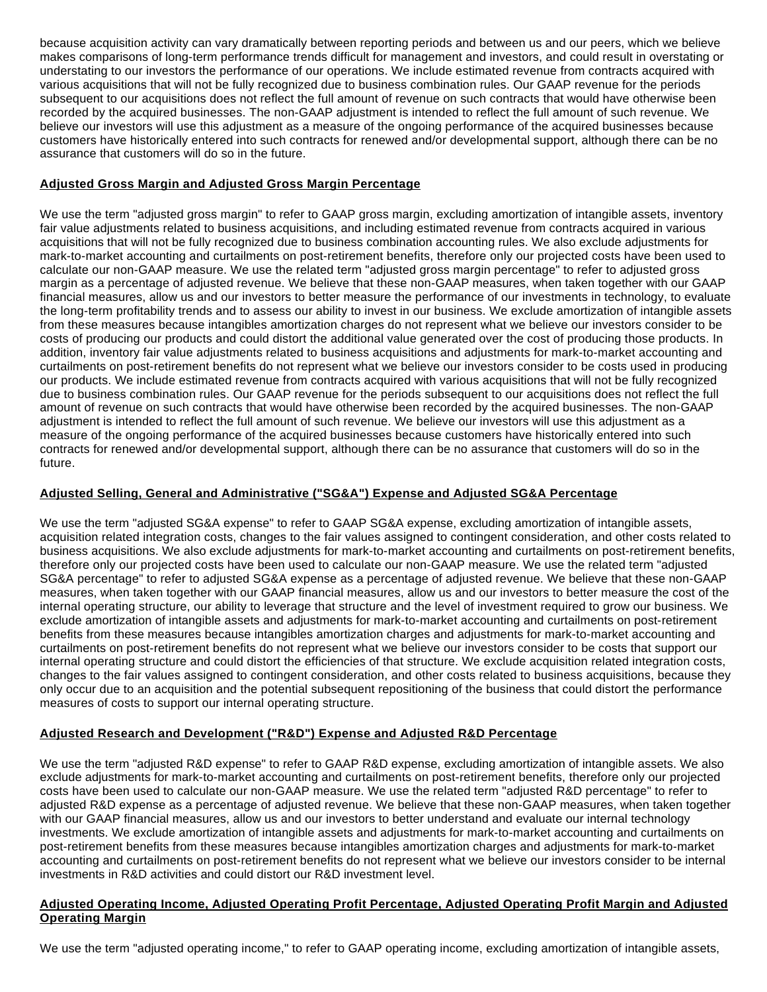because acquisition activity can vary dramatically between reporting periods and between us and our peers, which we believe makes comparisons of long-term performance trends difficult for management and investors, and could result in overstating or understating to our investors the performance of our operations. We include estimated revenue from contracts acquired with various acquisitions that will not be fully recognized due to business combination rules. Our GAAP revenue for the periods subsequent to our acquisitions does not reflect the full amount of revenue on such contracts that would have otherwise been recorded by the acquired businesses. The non-GAAP adjustment is intended to reflect the full amount of such revenue. We believe our investors will use this adjustment as a measure of the ongoing performance of the acquired businesses because customers have historically entered into such contracts for renewed and/or developmental support, although there can be no assurance that customers will do so in the future.

# **Adjusted Gross Margin and Adjusted Gross Margin Percentage**

We use the term "adjusted gross margin" to refer to GAAP gross margin, excluding amortization of intangible assets, inventory fair value adjustments related to business acquisitions, and including estimated revenue from contracts acquired in various acquisitions that will not be fully recognized due to business combination accounting rules. We also exclude adjustments for mark-to-market accounting and curtailments on post-retirement benefits, therefore only our projected costs have been used to calculate our non-GAAP measure. We use the related term "adjusted gross margin percentage" to refer to adjusted gross margin as a percentage of adjusted revenue. We believe that these non-GAAP measures, when taken together with our GAAP financial measures, allow us and our investors to better measure the performance of our investments in technology, to evaluate the long-term profitability trends and to assess our ability to invest in our business. We exclude amortization of intangible assets from these measures because intangibles amortization charges do not represent what we believe our investors consider to be costs of producing our products and could distort the additional value generated over the cost of producing those products. In addition, inventory fair value adjustments related to business acquisitions and adjustments for mark-to-market accounting and curtailments on post-retirement benefits do not represent what we believe our investors consider to be costs used in producing our products. We include estimated revenue from contracts acquired with various acquisitions that will not be fully recognized due to business combination rules. Our GAAP revenue for the periods subsequent to our acquisitions does not reflect the full amount of revenue on such contracts that would have otherwise been recorded by the acquired businesses. The non-GAAP adjustment is intended to reflect the full amount of such revenue. We believe our investors will use this adjustment as a measure of the ongoing performance of the acquired businesses because customers have historically entered into such contracts for renewed and/or developmental support, although there can be no assurance that customers will do so in the future.

# **Adjusted Selling, General and Administrative ("SG&A") Expense and Adjusted SG&A Percentage**

We use the term "adjusted SG&A expense" to refer to GAAP SG&A expense, excluding amortization of intangible assets, acquisition related integration costs, changes to the fair values assigned to contingent consideration, and other costs related to business acquisitions. We also exclude adjustments for mark-to-market accounting and curtailments on post-retirement benefits, therefore only our projected costs have been used to calculate our non-GAAP measure. We use the related term "adjusted SG&A percentage" to refer to adjusted SG&A expense as a percentage of adjusted revenue. We believe that these non-GAAP measures, when taken together with our GAAP financial measures, allow us and our investors to better measure the cost of the internal operating structure, our ability to leverage that structure and the level of investment required to grow our business. We exclude amortization of intangible assets and adjustments for mark-to-market accounting and curtailments on post-retirement benefits from these measures because intangibles amortization charges and adjustments for mark-to-market accounting and curtailments on post-retirement benefits do not represent what we believe our investors consider to be costs that support our internal operating structure and could distort the efficiencies of that structure. We exclude acquisition related integration costs, changes to the fair values assigned to contingent consideration, and other costs related to business acquisitions, because they only occur due to an acquisition and the potential subsequent repositioning of the business that could distort the performance measures of costs to support our internal operating structure.

# **Adjusted Research and Development ("R&D") Expense and Adjusted R&D Percentage**

We use the term "adjusted R&D expense" to refer to GAAP R&D expense, excluding amortization of intangible assets. We also exclude adjustments for mark-to-market accounting and curtailments on post-retirement benefits, therefore only our projected costs have been used to calculate our non-GAAP measure. We use the related term "adjusted R&D percentage" to refer to adjusted R&D expense as a percentage of adjusted revenue. We believe that these non-GAAP measures, when taken together with our GAAP financial measures, allow us and our investors to better understand and evaluate our internal technology investments. We exclude amortization of intangible assets and adjustments for mark-to-market accounting and curtailments on post-retirement benefits from these measures because intangibles amortization charges and adjustments for mark-to-market accounting and curtailments on post-retirement benefits do not represent what we believe our investors consider to be internal investments in R&D activities and could distort our R&D investment level.

## **Adjusted Operating Income, Adjusted Operating Profit Percentage, Adjusted Operating Profit Margin and Adjusted Operating Margin**

We use the term "adjusted operating income," to refer to GAAP operating income, excluding amortization of intangible assets,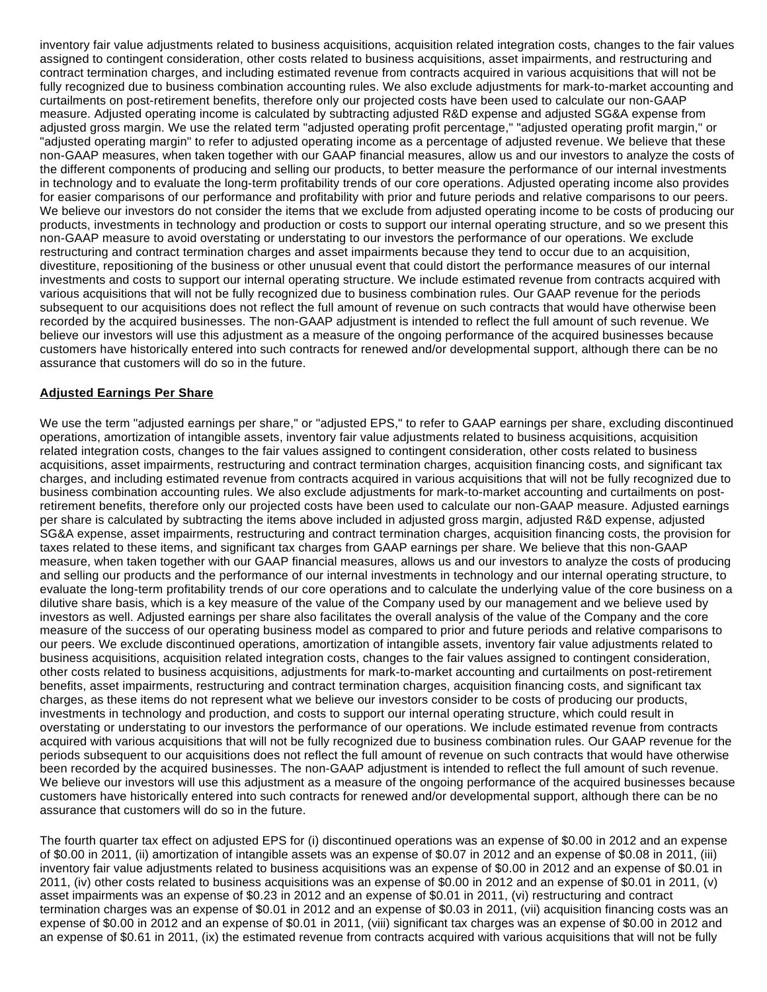inventory fair value adjustments related to business acquisitions, acquisition related integration costs, changes to the fair values assigned to contingent consideration, other costs related to business acquisitions, asset impairments, and restructuring and contract termination charges, and including estimated revenue from contracts acquired in various acquisitions that will not be fully recognized due to business combination accounting rules. We also exclude adjustments for mark-to-market accounting and curtailments on post-retirement benefits, therefore only our projected costs have been used to calculate our non-GAAP measure. Adjusted operating income is calculated by subtracting adjusted R&D expense and adjusted SG&A expense from adjusted gross margin. We use the related term "adjusted operating profit percentage," "adjusted operating profit margin," or "adjusted operating margin" to refer to adjusted operating income as a percentage of adjusted revenue. We believe that these non-GAAP measures, when taken together with our GAAP financial measures, allow us and our investors to analyze the costs of the different components of producing and selling our products, to better measure the performance of our internal investments in technology and to evaluate the long-term profitability trends of our core operations. Adjusted operating income also provides for easier comparisons of our performance and profitability with prior and future periods and relative comparisons to our peers. We believe our investors do not consider the items that we exclude from adjusted operating income to be costs of producing our products, investments in technology and production or costs to support our internal operating structure, and so we present this non-GAAP measure to avoid overstating or understating to our investors the performance of our operations. We exclude restructuring and contract termination charges and asset impairments because they tend to occur due to an acquisition, divestiture, repositioning of the business or other unusual event that could distort the performance measures of our internal investments and costs to support our internal operating structure. We include estimated revenue from contracts acquired with various acquisitions that will not be fully recognized due to business combination rules. Our GAAP revenue for the periods subsequent to our acquisitions does not reflect the full amount of revenue on such contracts that would have otherwise been recorded by the acquired businesses. The non-GAAP adjustment is intended to reflect the full amount of such revenue. We believe our investors will use this adjustment as a measure of the ongoing performance of the acquired businesses because customers have historically entered into such contracts for renewed and/or developmental support, although there can be no assurance that customers will do so in the future.

## **Adjusted Earnings Per Share**

We use the term "adjusted earnings per share," or "adjusted EPS," to refer to GAAP earnings per share, excluding discontinued operations, amortization of intangible assets, inventory fair value adjustments related to business acquisitions, acquisition related integration costs, changes to the fair values assigned to contingent consideration, other costs related to business acquisitions, asset impairments, restructuring and contract termination charges, acquisition financing costs, and significant tax charges, and including estimated revenue from contracts acquired in various acquisitions that will not be fully recognized due to business combination accounting rules. We also exclude adjustments for mark-to-market accounting and curtailments on postretirement benefits, therefore only our projected costs have been used to calculate our non-GAAP measure. Adjusted earnings per share is calculated by subtracting the items above included in adjusted gross margin, adjusted R&D expense, adjusted SG&A expense, asset impairments, restructuring and contract termination charges, acquisition financing costs, the provision for taxes related to these items, and significant tax charges from GAAP earnings per share. We believe that this non-GAAP measure, when taken together with our GAAP financial measures, allows us and our investors to analyze the costs of producing and selling our products and the performance of our internal investments in technology and our internal operating structure, to evaluate the long-term profitability trends of our core operations and to calculate the underlying value of the core business on a dilutive share basis, which is a key measure of the value of the Company used by our management and we believe used by investors as well. Adjusted earnings per share also facilitates the overall analysis of the value of the Company and the core measure of the success of our operating business model as compared to prior and future periods and relative comparisons to our peers. We exclude discontinued operations, amortization of intangible assets, inventory fair value adjustments related to business acquisitions, acquisition related integration costs, changes to the fair values assigned to contingent consideration, other costs related to business acquisitions, adjustments for mark-to-market accounting and curtailments on post-retirement benefits, asset impairments, restructuring and contract termination charges, acquisition financing costs, and significant tax charges, as these items do not represent what we believe our investors consider to be costs of producing our products, investments in technology and production, and costs to support our internal operating structure, which could result in overstating or understating to our investors the performance of our operations. We include estimated revenue from contracts acquired with various acquisitions that will not be fully recognized due to business combination rules. Our GAAP revenue for the periods subsequent to our acquisitions does not reflect the full amount of revenue on such contracts that would have otherwise been recorded by the acquired businesses. The non-GAAP adjustment is intended to reflect the full amount of such revenue. We believe our investors will use this adjustment as a measure of the ongoing performance of the acquired businesses because customers have historically entered into such contracts for renewed and/or developmental support, although there can be no assurance that customers will do so in the future.

The fourth quarter tax effect on adjusted EPS for (i) discontinued operations was an expense of \$0.00 in 2012 and an expense of \$0.00 in 2011, (ii) amortization of intangible assets was an expense of \$0.07 in 2012 and an expense of \$0.08 in 2011, (iii) inventory fair value adjustments related to business acquisitions was an expense of \$0.00 in 2012 and an expense of \$0.01 in 2011, (iv) other costs related to business acquisitions was an expense of \$0.00 in 2012 and an expense of \$0.01 in 2011, (v) asset impairments was an expense of \$0.23 in 2012 and an expense of \$0.01 in 2011, (vi) restructuring and contract termination charges was an expense of \$0.01 in 2012 and an expense of \$0.03 in 2011, (vii) acquisition financing costs was an expense of \$0.00 in 2012 and an expense of \$0.01 in 2011, (viii) significant tax charges was an expense of \$0.00 in 2012 and an expense of \$0.61 in 2011, (ix) the estimated revenue from contracts acquired with various acquisitions that will not be fully